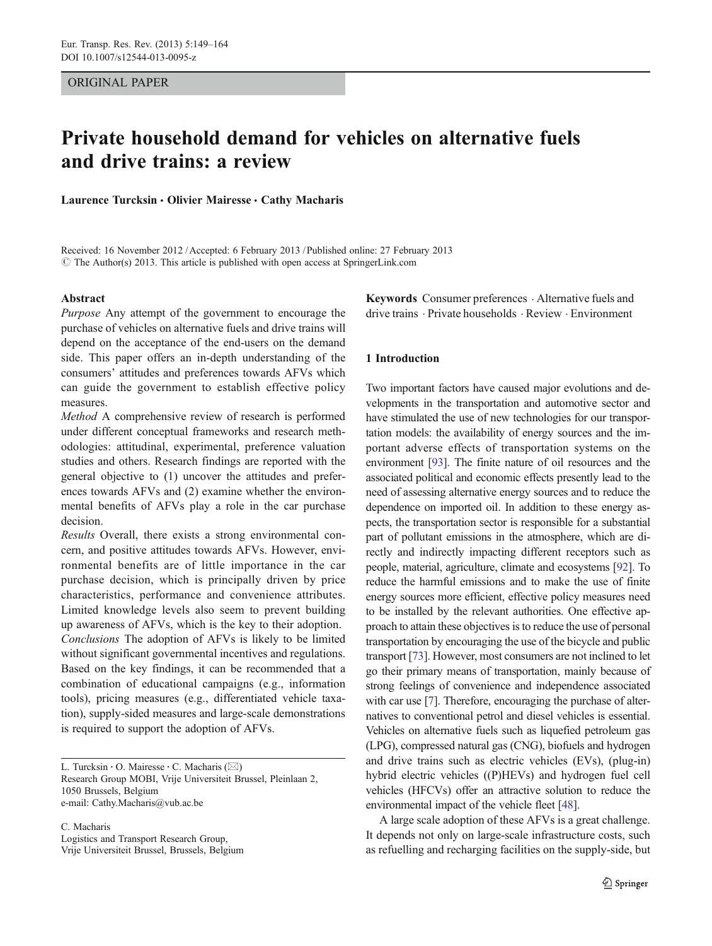## ORIGINAL PAPER

# Private household demand for vehicles on alternative fuels and drive trains: a review

Laurence Turcksin • Olivier Mairesse • Cathy Macharis

Received: 16 November 2012 /Accepted: 6 February 2013 / Published online: 27 February 2013  $\odot$  The Author(s) 2013. This article is published with open access at SpringerLink.com

#### Abstract

Purpose Any attempt of the government to encourage the purchase of vehicles on alternative fuels and drive trains will depend on the acceptance of the end-users on the demand side. This paper offers an in-depth understanding of the consumers' attitudes and preferences towards AFVs which can guide the government to establish effective policy measures.

Method A comprehensive review of research is performed under different conceptual frameworks and research methodologies: attitudinal, experimental, preference valuation studies and others. Research findings are reported with the general objective to (1) uncover the attitudes and preferences towards AFVs and (2) examine whether the environmental benefits of AFVs play a role in the car purchase decision.

Results Overall, there exists a strong environmental concern, and positive attitudes towards AFVs. However, environmental benefits are of little importance in the car purchase decision, which is principally driven by price characteristics, performance and convenience attributes. Limited knowledge levels also seem to prevent building up awareness of AFVs, which is the key to their adoption. Conclusions The adoption of AFVs is likely to be limited without significant governmental incentives and regulations. Based on the key findings, it can be recommended that a combination of educational campaigns (e.g., information tools), pricing measures (e.g., differentiated vehicle taxation), supply-sided measures and large-scale demonstrations is required to support the adoption of AFVs.

L. Turcksin  $\cdot$  O. Mairesse  $\cdot$  C. Macharis ( $\boxtimes$ ) Research Group MOBI, Vrije Universiteit Brussel, Pleinlaan 2, 1050 Brussels, Belgium e-mail: Cathy.Macharis@vub.ac.be

C. Macharis Logistics and Transport Research Group, Vrije Universiteit Brussel, Brussels, Belgium Keywords Consumer preferences  $\cdot$  Alternative fuels and drive trains . Private households . Review . Environment

## 1 Introduction

Two important factors have caused major evolutions and developments in the transportation and automotive sector and have stimulated the use of new technologies for our transportation models: the availability of energy sources and the important adverse effects of transportation systems on the environment [\[93\]](#page-15-0). The finite nature of oil resources and the associated political and economic effects presently lead to the need of assessing alternative energy sources and to reduce the dependence on imported oil. In addition to these energy aspects, the transportation sector is responsible for a substantial part of pollutant emissions in the atmosphere, which are directly and indirectly impacting different receptors such as people, material, agriculture, climate and ecosystems [\[92\]](#page-15-0). To reduce the harmful emissions and to make the use of finite energy sources more efficient, effective policy measures need to be installed by the relevant authorities. One effective approach to attain these objectives is to reduce the use of personal transportation by encouraging the use of the bicycle and public transport [\[73\]](#page-15-0). However, most consumers are not inclined to let go their primary means of transportation, mainly because of strong feelings of convenience and independence associated with car use [\[7](#page-13-0)]. Therefore, encouraging the purchase of alternatives to conventional petrol and diesel vehicles is essential. Vehicles on alternative fuels such as liquefied petroleum gas (LPG), compressed natural gas (CNG), biofuels and hydrogen and drive trains such as electric vehicles (EVs), (plug-in) hybrid electric vehicles ((P)HEVs) and hydrogen fuel cell vehicles (HFCVs) offer an attractive solution to reduce the environmental impact of the vehicle fleet [\[48\]](#page-14-0).

A large scale adoption of these AFVs is a great challenge. It depends not only on large-scale infrastructure costs, such as refuelling and recharging facilities on the supply-side, but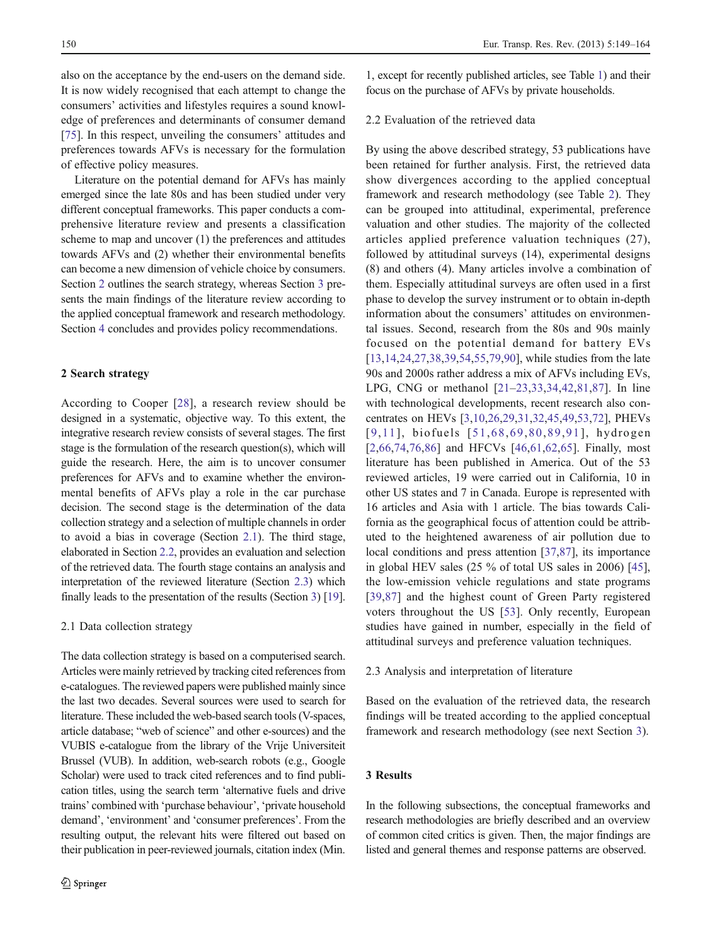also on the acceptance by the end-users on the demand side. It is now widely recognised that each attempt to change the consumers' activities and lifestyles requires a sound knowledge of preferences and determinants of consumer demand [\[75](#page-15-0)]. In this respect, unveiling the consumers' attitudes and preferences towards AFVs is necessary for the formulation of effective policy measures.

Literature on the potential demand for AFVs has mainly emerged since the late 80s and has been studied under very different conceptual frameworks. This paper conducts a comprehensive literature review and presents a classification scheme to map and uncover (1) the preferences and attitudes towards AFVs and (2) whether their environmental benefits can become a new dimension of vehicle choice by consumers. Section 2 outlines the search strategy, whereas Section 3 presents the main findings of the literature review according to the applied conceptual framework and research methodology. Section [4](#page-12-0) concludes and provides policy recommendations.

## 2 Search strategy

According to Cooper [\[28\]](#page-14-0), a research review should be designed in a systematic, objective way. To this extent, the integrative research review consists of several stages. The first stage is the formulation of the research question(s), which will guide the research. Here, the aim is to uncover consumer preferences for AFVs and to examine whether the environmental benefits of AFVs play a role in the car purchase decision. The second stage is the determination of the data collection strategy and a selection of multiple channels in order to avoid a bias in coverage (Section 2.1). The third stage, elaborated in Section 2.2, provides an evaluation and selection of the retrieved data. The fourth stage contains an analysis and interpretation of the reviewed literature (Section 2.3) which finally leads to the presentation of the results (Section 3) [\[19\]](#page-14-0).

#### 2.1 Data collection strategy

The data collection strategy is based on a computerised search. Articles were mainly retrieved by tracking cited references from e-catalogues. The reviewed papers were published mainly since the last two decades. Several sources were used to search for literature. These included the web-based search tools (V-spaces, article database; "web of science" and other e-sources) and the VUBIS e-catalogue from the library of the Vrije Universiteit Brussel (VUB). In addition, web-search robots (e.g., Google Scholar) were used to track cited references and to find publication titles, using the search term 'alternative fuels and drive trains' combined with 'purchase behaviour', 'private household demand', 'environment' and 'consumer preferences'. From the resulting output, the relevant hits were filtered out based on their publication in peer-reviewed journals, citation index (Min.

1, except for recently published articles, see Table [1\)](#page-2-0) and their focus on the purchase of AFVs by private households.

#### 2.2 Evaluation of the retrieved data

By using the above described strategy, 53 publications have been retained for further analysis. First, the retrieved data show divergences according to the applied conceptual framework and research methodology (see Table [2](#page-2-0)). They can be grouped into attitudinal, experimental, preference valuation and other studies. The majority of the collected articles applied preference valuation techniques (27), followed by attitudinal surveys (14), experimental designs (8) and others (4). Many articles involve a combination of them. Especially attitudinal surveys are often used in a first phase to develop the survey instrument or to obtain in-depth information about the consumers' attitudes on environmental issues. Second, research from the 80s and 90s mainly focused on the potential demand for battery EVs [\[13](#page-14-0),[14,24](#page-14-0),[27,38](#page-14-0),[39,54](#page-14-0),[55,](#page-14-0)[79](#page-15-0),[90\]](#page-15-0), while studies from the late 90s and 2000s rather address a mix of AFVs including EVs, LPG, CNG or methanol [[21](#page-14-0)–[23,33,34](#page-14-0),[42](#page-14-0),[81,87\]](#page-15-0). In line with technological developments, recent research also concentrates on HEVs [\[3](#page-13-0),[10,](#page-13-0)[26](#page-14-0),[29,31](#page-14-0),[32,45](#page-14-0),[49,53](#page-14-0),[72\]](#page-15-0), PHEVs [[9](#page-13-0),[11\]](#page-13-0), biofuels  $[51,68,69,80,89,91]$ , hydrogen [\[2,](#page-13-0)[66](#page-15-0),[74,76,86](#page-15-0)] and HFCVs [[46](#page-14-0),[61,62,65](#page-15-0)]. Finally, most literature has been published in America. Out of the 53 reviewed articles, 19 were carried out in California, 10 in other US states and 7 in Canada. Europe is represented with 16 articles and Asia with 1 article. The bias towards California as the geographical focus of attention could be attributed to the heightened awareness of air pollution due to local conditions and press attention [[37,](#page-14-0)[87](#page-15-0)], its importance in global HEV sales (25 % of total US sales in 2006) [[45\]](#page-14-0), the low-emission vehicle regulations and state programs [\[39,](#page-14-0)[87](#page-15-0)] and the highest count of Green Party registered voters throughout the US [[53\]](#page-14-0). Only recently, European studies have gained in number, especially in the field of attitudinal surveys and preference valuation techniques.

#### 2.3 Analysis and interpretation of literature

Based on the evaluation of the retrieved data, the research findings will be treated according to the applied conceptual framework and research methodology (see next Section 3).

# 3 Results

In the following subsections, the conceptual frameworks and research methodologies are briefly described and an overview of common cited critics is given. Then, the major findings are listed and general themes and response patterns are observed.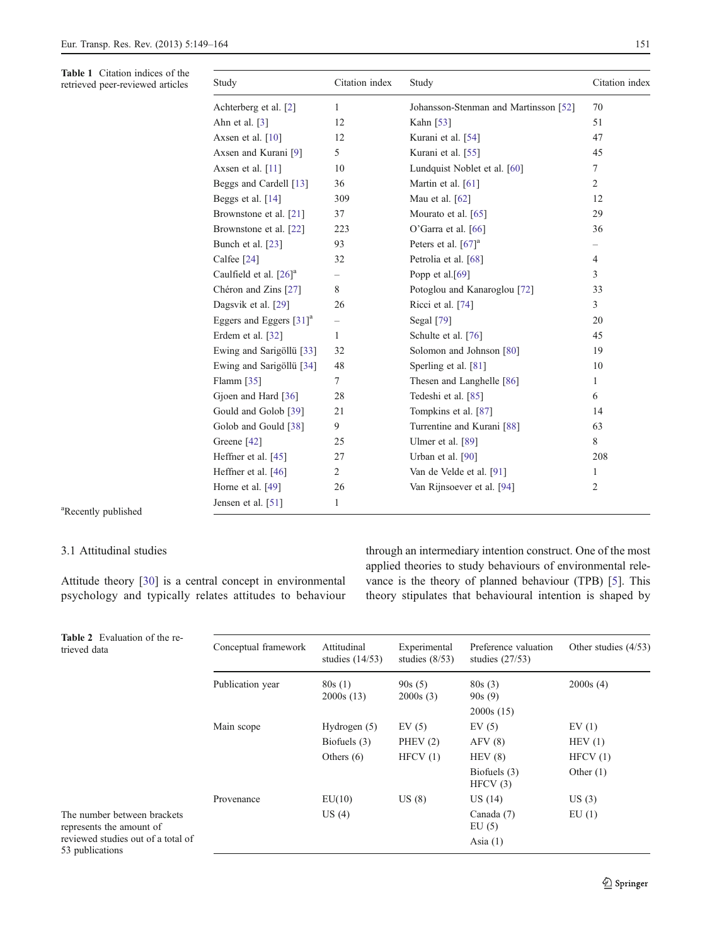<span id="page-2-0"></span>Table 1 Citation indices of the retrieved peer-reviewed articles

| Study                                 | Citation index | Study                                 | Citation index  |
|---------------------------------------|----------------|---------------------------------------|-----------------|
| Achterberg et al. [2]                 | $\mathbf{1}$   | Johansson-Stenman and Martinsson [52] | 70              |
| Ahn et al. [3]                        | 12             | Kahn [53]                             | 51              |
| Axsen et al. [10]                     | 12             | Kurani et al. [54]                    | 47              |
| Axsen and Kurani [9]                  | 5              | Kurani et al. [55]                    | 45              |
| Axsen et al. [11]                     | 10             | Lundquist Noblet et al. [60]          | $7\phantom{.0}$ |
| Beggs and Cardell [13]                | 36             | Martin et al. [61]                    | 2               |
| Beggs et al. [14]                     | 309            | Mau et al. [62]                       | 12              |
| Brownstone et al. [21]                | 37             | Mourato et al. [65]                   | 29              |
| Brownstone et al. [22]                | 223            | O'Garra et al. [66]                   | 36              |
| Bunch et al. [23]                     | 93             | Peters et al. $[67]$ <sup>a</sup>     |                 |
| Calfee [24]                           | 32             | Petrolia et al. [68]                  | 4               |
| Caulfield et al. [26] <sup>a</sup>    | —              | Popp et al.[69]                       | 3               |
| Chéron and Zins [27]                  | 8              | Potoglou and Kanaroglou [72]          | 33              |
| Dagsvik et al. [29]                   | 26             | Ricci et al. [74]                     | 3               |
| Eggers and Eggers $[31]$ <sup>a</sup> | -              | Segal $[79]$                          | 20              |
| Erdem et al. [32]                     | $\mathbf{1}$   | Schulte et al. [76]                   | 45              |
| Ewing and Sarigöllü [33]              | 32             | Solomon and Johnson [80]              | 19              |
| Ewing and Sarigöllü [34]              | 48             | Sperling et al. [81]                  | 10              |
| Flamm [35]                            | 7              | Thesen and Langhelle [86]             | 1               |
| Gjoen and Hard [36]                   | 28             | Tedeshi et al. [85]                   | 6               |
| Gould and Golob [39]                  | 21             | Tompkins et al. [87]                  | 14              |
| Golob and Gould [38]                  | 9              | Turrentine and Kurani [88]            | 63              |
| Greene [42]                           | 25             | Ulmer et al. [89]                     | 8               |
| Heffner et al. [45]                   | 27             | Urban et al. [90]                     | 208             |
| Heffner et al. [46]                   | $\overline{2}$ | Van de Velde et al. [91]              | 1               |
| Horne et al. [49]                     | 26             | Van Rijnsoever et al. [94]            | 2               |
| Jensen et al. [51]                    | 1              |                                       |                 |
|                                       |                |                                       |                 |

a Recently published

# 3.1 Attitudinal studies

Attitude theory [[30\]](#page-14-0) is a central concept in environmental psychology and typically relates attitudes to behaviour through an intermediary intention construct. One of the most applied theories to study behaviours of environmental relevance is the theory of planned behaviour (TPB) [\[5\]](#page-13-0). This theory stipulates that behavioural intention is shaped by

| <b>Table 2</b> Evaluation of the re-<br>trieved data    | Conceptual framework | Attitudinal<br>studies $(14/53)$ | Experimental<br>studies $(8/53)$ | Preference valuation<br>studies $(27/53)$ | Other studies $(4/53)$ |
|---------------------------------------------------------|----------------------|----------------------------------|----------------------------------|-------------------------------------------|------------------------|
|                                                         | Publication year     | 80s(1)<br>2000s(13)              | 90s(5)<br>2000s(3)               | 80s(3)<br>90s(9)                          | 2000s(4)               |
|                                                         |                      |                                  |                                  | 2000s(15)                                 |                        |
|                                                         | Main scope           | Hydrogen $(5)$                   | EV(5)                            | EV(5)                                     | EV(1)                  |
|                                                         |                      | Biofuels (3)                     | PHEV $(2)$                       | AFV(8)                                    | HEV(1)                 |
|                                                         |                      | Others $(6)$                     | HFCV(1)                          | HEV(8)                                    | HFCV(1)                |
|                                                         |                      |                                  |                                  | Biofuels (3)<br>HFCV(3)                   | Other $(1)$            |
|                                                         | Provenance           | EU(10)                           | US(8)                            | US(14)                                    | US(3)                  |
| The number between brackets<br>represents the amount of |                      | US(4)                            |                                  | Canada (7)<br>EU(5)                       | EU(1)                  |
| reviewed studies out of a total of<br>53 publications   |                      |                                  |                                  | Asia $(1)$                                |                        |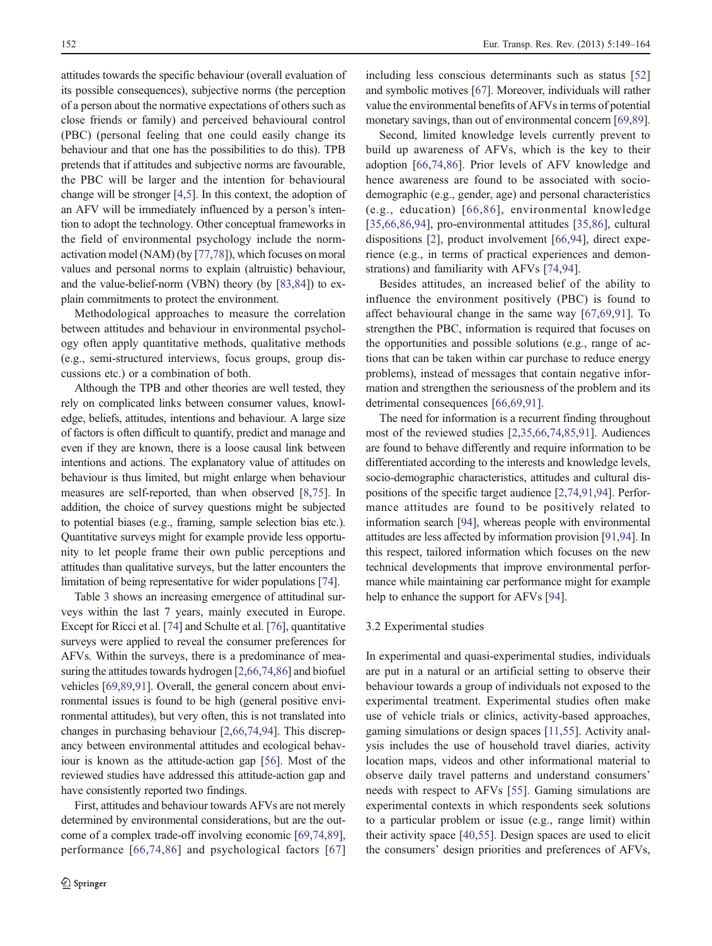attitudes towards the specific behaviour (overall evaluation of its possible consequences), subjective norms (the perception of a person about the normative expectations of others such as close friends or family) and perceived behavioural control (PBC) (personal feeling that one could easily change its behaviour and that one has the possibilities to do this). TPB pretends that if attitudes and subjective norms are favourable, the PBC will be larger and the intention for behavioural change will be stronger [\[4](#page-13-0),[5](#page-13-0)]. In this context, the adoption of an AFV will be immediately influenced by a person's intention to adopt the technology. Other conceptual frameworks in the field of environmental psychology include the normactivation model (NAM) (by [[77,78\]](#page-15-0)), which focuses on moral values and personal norms to explain (altruistic) behaviour, and the value-belief-norm (VBN) theory (by [\[83,84](#page-15-0)]) to explain commitments to protect the environment.

Methodological approaches to measure the correlation between attitudes and behaviour in environmental psychology often apply quantitative methods, qualitative methods (e.g., semi-structured interviews, focus groups, group discussions etc.) or a combination of both.

Although the TPB and other theories are well tested, they rely on complicated links between consumer values, knowledge, beliefs, attitudes, intentions and behaviour. A large size of factors is often difficult to quantify, predict and manage and even if they are known, there is a loose causal link between intentions and actions. The explanatory value of attitudes on behaviour is thus limited, but might enlarge when behaviour measures are self-reported, than when observed [[8,](#page-13-0)[75](#page-15-0)]. In addition, the choice of survey questions might be subjected to potential biases (e.g., framing, sample selection bias etc.). Quantitative surveys might for example provide less opportunity to let people frame their own public perceptions and attitudes than qualitative surveys, but the latter encounters the limitation of being representative for wider populations [\[74](#page-15-0)].

Table [3](#page-4-0) shows an increasing emergence of attitudinal surveys within the last 7 years, mainly executed in Europe. Except for Ricci et al. [[74\]](#page-15-0) and Schulte et al. [\[76\]](#page-15-0), quantitative surveys were applied to reveal the consumer preferences for AFVs. Within the surveys, there is a predominance of measuring the attitudes towards hydrogen [\[2](#page-13-0),[66](#page-15-0),[74,86\]](#page-15-0) and biofuel vehicles [[69](#page-15-0),[89,91\]](#page-15-0). Overall, the general concern about environmental issues is found to be high (general positive environmental attitudes), but very often, this is not translated into changes in purchasing behaviour [\[2](#page-13-0),[66](#page-15-0),[74,94\]](#page-15-0). This discrepancy between environmental attitudes and ecological behaviour is known as the attitude-action gap [\[56](#page-14-0)]. Most of the reviewed studies have addressed this attitude-action gap and have consistently reported two findings.

First, attitudes and behaviour towards AFVs are not merely determined by environmental considerations, but are the outcome of a complex trade-off involving economic [\[69](#page-15-0),[74](#page-15-0),[89\]](#page-15-0), performance [[66](#page-15-0),[74](#page-15-0),[86\]](#page-15-0) and psychological factors [\[67\]](#page-15-0) including less conscious determinants such as status [[52](#page-14-0)] and symbolic motives [[67](#page-15-0)]. Moreover, individuals will rather value the environmental benefits of AFVs in terms of potential monetary savings, than out of environmental concern [[69](#page-15-0),[89\]](#page-15-0).

Second, limited knowledge levels currently prevent to build up awareness of AFVs, which is the key to their adoption [\[66](#page-15-0),[74,86](#page-15-0)]. Prior levels of AFV knowledge and hence awareness are found to be associated with sociodemographic (e.g., gender, age) and personal characteristics (e.g., education) [[66](#page-15-0),[86](#page-15-0)], environmental knowledge [\[35](#page-14-0),[66,86](#page-15-0),[94\]](#page-15-0), pro-environmental attitudes [[35,](#page-14-0)[86](#page-15-0)], cultural dispositions [\[2](#page-13-0)], product involvement [[66,94](#page-15-0)], direct experience (e.g., in terms of practical experiences and demonstrations) and familiarity with AFVs [[74,94](#page-15-0)].

Besides attitudes, an increased belief of the ability to influence the environment positively (PBC) is found to affect behavioural change in the same way [\[67](#page-15-0),[69,91](#page-15-0)]. To strengthen the PBC, information is required that focuses on the opportunities and possible solutions (e.g., range of actions that can be taken within car purchase to reduce energy problems), instead of messages that contain negative information and strengthen the seriousness of the problem and its detrimental consequences [[66,69](#page-15-0),[91\]](#page-15-0).

The need for information is a recurrent finding throughout most of the reviewed studies [\[2](#page-13-0),[35](#page-14-0),[66,74,85,91](#page-15-0)]. Audiences are found to behave differently and require information to be differentiated according to the interests and knowledge levels, socio-demographic characteristics, attitudes and cultural dispositions of the specific target audience [\[2](#page-13-0),[74](#page-15-0),[91,94\]](#page-15-0). Performance attitudes are found to be positively related to information search [[94](#page-15-0)], whereas people with environmental attitudes are less affected by information provision [\[91](#page-15-0),[94](#page-15-0)]. In this respect, tailored information which focuses on the new technical developments that improve environmental performance while maintaining car performance might for example help to enhance the support for AFVs [\[94](#page-15-0)].

#### 3.2 Experimental studies

In experimental and quasi-experimental studies, individuals are put in a natural or an artificial setting to observe their behaviour towards a group of individuals not exposed to the experimental treatment. Experimental studies often make use of vehicle trials or clinics, activity-based approaches, gaming simulations or design spaces [[11](#page-13-0),[55\]](#page-14-0). Activity analysis includes the use of household travel diaries, activity location maps, videos and other informational material to observe daily travel patterns and understand consumers' needs with respect to AFVs [[55\]](#page-14-0). Gaming simulations are experimental contexts in which respondents seek solutions to a particular problem or issue (e.g., range limit) within their activity space [\[40](#page-14-0),[55\]](#page-14-0). Design spaces are used to elicit the consumers' design priorities and preferences of AFVs,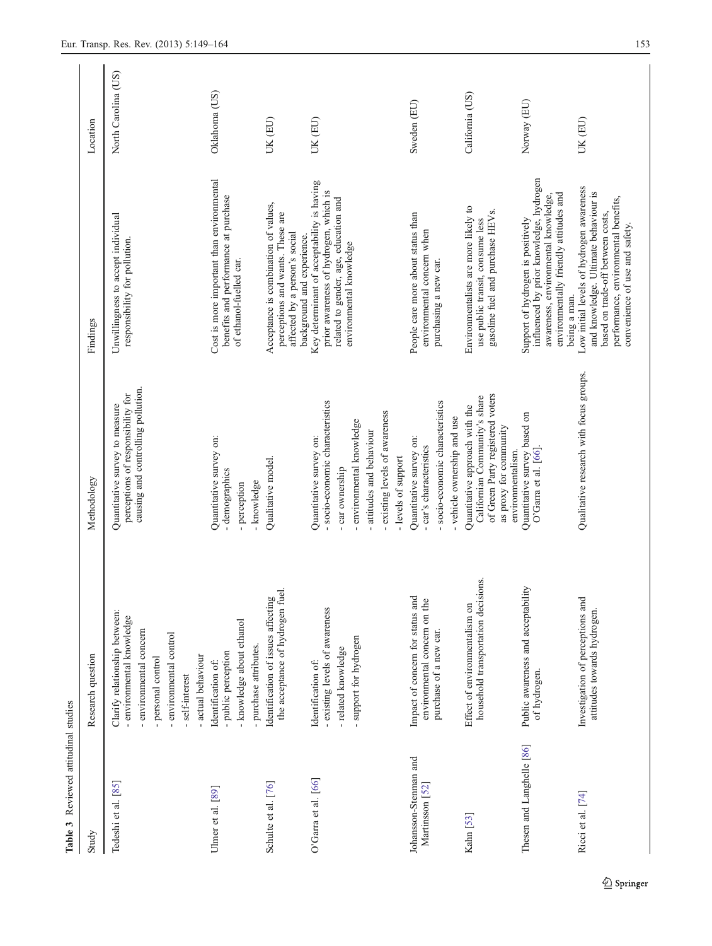<span id="page-4-0"></span>

| Reviewed attitudinal studies<br>Table 3  |                                                                                                                                                                             |                                                                                                                                                                                                   |                                                                                                                                                                                                 |                     |
|------------------------------------------|-----------------------------------------------------------------------------------------------------------------------------------------------------------------------------|---------------------------------------------------------------------------------------------------------------------------------------------------------------------------------------------------|-------------------------------------------------------------------------------------------------------------------------------------------------------------------------------------------------|---------------------|
| Study                                    | Research question                                                                                                                                                           | Methodology                                                                                                                                                                                       | Findings                                                                                                                                                                                        | Location            |
| Tedeshi et al. [85]                      | Clarify relationship between:<br>environmental knowledge<br>environmental concern<br>- environmental control<br>- actual behaviour<br>- personal control<br>- self-interest | causing and controlling pollution.<br>perceptions of responsibility for<br>Quantitative survey to measure                                                                                         | Unwillingness to accept individual<br>responsibility for pollution.                                                                                                                             | North Carolina (US) |
| Ulmer et al. [89]                        | - knowledge about ethanol<br>- purchase attributes.<br>- public perception<br>Identification of:                                                                            | Quantitative survey on:<br>- demographics<br>- knowledge<br>- perception                                                                                                                          | Cost is more important than environmental<br>benefits and performance at purchase<br>of ethanol-fuelled car.                                                                                    | Oklahoma (US)       |
| Schulte et al. [76]                      | - Purculation of issues affecting<br>Identification of issues affecting                                                                                                     | Qualitative model.                                                                                                                                                                                | Acceptance is combination of values,<br>perceptions and wants. These are<br>affected by a person's social<br>background and experience                                                          | UK (EU)             |
| O'Garra et al. [66]                      | - existing levels of awareness<br>- support for hydrogen<br>- related knowledge<br>Identification of:                                                                       | - socio-economic characteristics<br>- existing levels of awareness<br>- environmental knowledge<br>- attitudes and behaviour<br>Quantitative survey on:<br>- levels of support<br>- car ownership | Key determinant of acceptability is having<br>prior awareness of hydrogen, which is<br>related to gender, age, education and<br>environmental knowledge                                         | UK (EU)             |
| Johansson-Stenman and<br>Martinsson [52] | Impact of concern for status and<br>environmental concern on the<br>purchase of a new car.                                                                                  | - socio-economic characteristics<br>- vehicle ownership and use<br>Quantitative survey on:<br>- car's characteristics                                                                             | People care more about status than<br>environmental concern when<br>purchasing a new car.                                                                                                       | Sweden (EU)         |
| Kahn [53]                                | household transportation decisions<br>Effect of environmentalism on                                                                                                         | of Green Party registered voters<br>Californian Community's share<br>Quantitative approach with the<br>as proxy for community<br>environmentalism.                                                | Environmentalists are more likely to<br>gasoline fuel and purchase HEVs.<br>use public transit, consume less                                                                                    | California (US)     |
| Thesen and Langhelle [86]                | Public awareness and acceptability<br>of hydrogen.                                                                                                                          | Quantitative survey based on<br>O'Garra et al. $[66]$ .                                                                                                                                           | influenced by prior knowledge, hydrogen<br>environmentally friendly attitudes and<br>awareness, environmental knowledge,<br>Support of hydrogen is positively<br>being a man.                   | Norway (EU)         |
| Ricci et al. [74]                        | Investigation of perceptions and<br>attitudes towards hydrogen.                                                                                                             | Qualitative research with focus groups.                                                                                                                                                           | Low initial levels of hydrogen awareness<br>and knowledge. Ultimate behaviour is<br>performance, environmental benefits,<br>based on trade-off between costs,<br>convenience of use and safety. | UK (EU)             |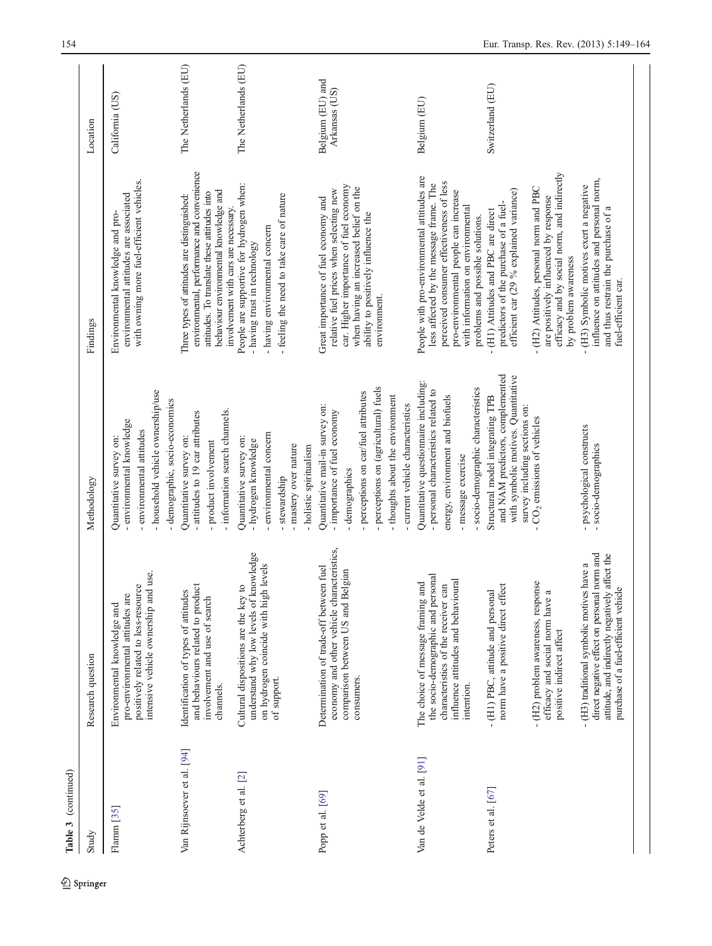| Table 3 (continued)        |                                                                                                                                                                                              |                                                                                                                                                                                                                                             |                                                                                                                                                                                                                                                                                    |                                   |
|----------------------------|----------------------------------------------------------------------------------------------------------------------------------------------------------------------------------------------|---------------------------------------------------------------------------------------------------------------------------------------------------------------------------------------------------------------------------------------------|------------------------------------------------------------------------------------------------------------------------------------------------------------------------------------------------------------------------------------------------------------------------------------|-----------------------------------|
| Study                      | Research question                                                                                                                                                                            | Methodology                                                                                                                                                                                                                                 | Findings                                                                                                                                                                                                                                                                           | Location                          |
| Flamm [35]                 | intensive vehicle ownership and use.<br>positively related to less-resource<br>pro-environmental attitudes are<br>Environmental knowledge and                                                | - household vehicle ownership/use<br>- demographic, socio-economics<br>environmental knowledge<br>- environmental attitudes<br>Quantitative survey on:                                                                                      | with owning more fuel-efficient vehicles.<br>environmental attitudes are associated<br>Environmental knowledge and pro-                                                                                                                                                            | California (US)                   |
| Van Rijnsoever et al. [94] | and behaviours related to product<br>Identification of types of attitudes<br>involvement and use of search<br>channels.                                                                      | - information search channels.<br>- attitudes to 19 car attributes<br>Quantitative survey on:<br>- product involvement                                                                                                                      | environmental, performance and convenience<br>behaviour environmental knowledge and<br>attitudes. To translate these attitudes into<br>Three types of attitudes are distinguished:<br>involvement with cars are necessary.                                                         | The Netherlands (EU)              |
| Achterberg et al. [2]      | understand why low levels of knowledge<br>on hydrogen coincide with high levels<br>Cultural dispositions are the key to<br>of support.                                                       | - environmental concern<br>Quantitative survey on:<br>- hydrogen knowledge<br>- mastery over nature<br>- holistic spiritualism<br>- stewardship                                                                                             | People are supportive for hydrogen when:<br>- feeling the need to take care of nature<br>- having environmental concern<br>- having trust in technology                                                                                                                            | The Netherlands (EU)              |
| Popp et al. [69]           | economy and other vehicle characteristics,<br>Determination of trade-off between fuel<br>comparison between US and Belgian<br>consumers.                                                     | - perceptions on (agricultural) fuels<br>- perceptions on car/fuel attributes<br>- thoughts about the environment<br>- current vehicle characteristics<br>Quantitative mail-in survey on:<br>- importance of fuel economy<br>- demographics | car. Higher importance of fuel economy<br>when having an increased belief on the<br>relative fuel prices when selecting new<br>Great importance of fuel economy and<br>ability to positively influence the<br>environment.                                                         | Belgium (EU) and<br>Arkansas (US) |
| Van de Velde et al. [91]   | the socio-demographic and personal<br>influence attitudes and behavioural<br>The choice of message framing and<br>can<br>characteristics of the receiver<br>intention.                       | Quantitative questionnaire including:<br>- socio-demographic characteristics<br>- personal characteristics related to<br>energy, environment and biofuels<br>- message exercise                                                             | People with pro-environmental attitudes are<br>perceived consumer effectiveness of less<br>less affected by the message frame. The<br>pro-environmental people can increase<br>with information on environmental<br>problems and possible solutions.                               | Belgium (EU)                      |
| Peters et al. [67]         | - (H2) problem awareness, response<br>norm have a positive direct effect<br>$\mathfrak{a}$<br>- (H1) PBC, attitude and personal<br>efficacy and social norm have<br>positive indirect affect | and NAM predictors, complemented<br>with symbolic motives. Quantitative<br>Structural model integrating TPB<br>survey including sections on:<br>$CO2$ emissions of vehicles                                                                 | efficacy and by social norm, and indirectly<br>- (H2) Attitudes, personal norm and PBC<br>efficient car (29 % explained variance)<br>are positively influenced by response<br>predictors of the purchase of a fuel-<br>- (H1) Attitudes and PBC are direct<br>by problem awareness | Switzerland (EU)                  |
|                            | direct negative effect on personal norm and<br>attitude, and indirectly negatively affect the<br>- (H3) traditional symbolic motives have a<br>purchase of a fuel-efficient vehicle          | - psychological constructs<br>socio-demographics<br>$\mathbf{I}$                                                                                                                                                                            | influence on attitudes and personal norm,<br>-(H3) Symbolic motives exert a negative<br>and thus restrain the purchase of a<br>fuel-efficient car.                                                                                                                                 |                                   |

 $\underline{\textcircled{\tiny 2}}$  Springer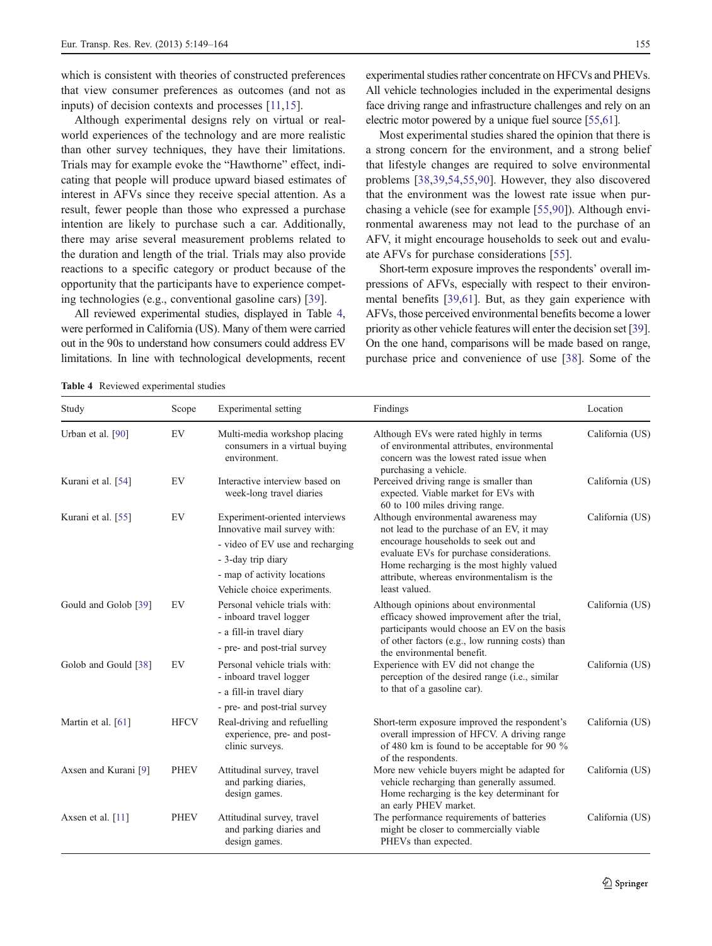which is consistent with theories of constructed preferences that view consumer preferences as outcomes (and not as inputs) of decision contexts and processes [[11,](#page-13-0)[15](#page-14-0)].

Although experimental designs rely on virtual or realworld experiences of the technology and are more realistic than other survey techniques, they have their limitations. Trials may for example evoke the "Hawthorne" effect, indicating that people will produce upward biased estimates of interest in AFVs since they receive special attention. As a result, fewer people than those who expressed a purchase intention are likely to purchase such a car. Additionally, there may arise several measurement problems related to the duration and length of the trial. Trials may also provide reactions to a specific category or product because of the opportunity that the participants have to experience competing technologies (e.g., conventional gasoline cars) [\[39](#page-14-0)].

All reviewed experimental studies, displayed in Table 4, were performed in California (US). Many of them were carried out in the 90s to understand how consumers could address EV limitations. In line with technological developments, recent experimental studies rather concentrate on HFCVs and PHEVs. All vehicle technologies included in the experimental designs face driving range and infrastructure challenges and rely on an electric motor powered by a unique fuel source [\[55](#page-14-0)[,61\]](#page-15-0).

Most experimental studies shared the opinion that there is a strong concern for the environment, and a strong belief that lifestyle changes are required to solve environmental problems [[38,39](#page-14-0),[54,55](#page-14-0),[90\]](#page-15-0). However, they also discovered that the environment was the lowest rate issue when purchasing a vehicle (see for example [[55,](#page-14-0)[90](#page-15-0)]). Although environmental awareness may not lead to the purchase of an AFV, it might encourage households to seek out and evaluate AFVs for purchase considerations [\[55](#page-14-0)].

Short-term exposure improves the respondents' overall impressions of AFVs, especially with respect to their environmental benefits [\[39](#page-14-0),[61](#page-15-0)]. But, as they gain experience with AFVs, those perceived environmental benefits become a lower priority as other vehicle features will enter the decision set [\[39\]](#page-14-0). On the one hand, comparisons will be made based on range, purchase price and convenience of use [\[38](#page-14-0)]. Some of the

Table 4 Reviewed experimental studies

| Study                | Scope       | Experimental setting                                                                                                                                                                   | Findings                                                                                                                                                                                                                                                                           | Location        |
|----------------------|-------------|----------------------------------------------------------------------------------------------------------------------------------------------------------------------------------------|------------------------------------------------------------------------------------------------------------------------------------------------------------------------------------------------------------------------------------------------------------------------------------|-----------------|
| Urban et al. [90]    | EV          | Multi-media workshop placing<br>consumers in a virtual buying<br>environment.                                                                                                          | Although EVs were rated highly in terms<br>of environmental attributes, environmental<br>concern was the lowest rated issue when<br>purchasing a vehicle.                                                                                                                          | California (US) |
| Kurani et al. [54]   | EV          | Interactive interview based on<br>week-long travel diaries                                                                                                                             | Perceived driving range is smaller than<br>expected. Viable market for EVs with<br>60 to 100 miles driving range.                                                                                                                                                                  | California (US) |
| Kurani et al. [55]   | EV          | Experiment-oriented interviews<br>Innovative mail survey with:<br>- video of EV use and recharging<br>- 3-day trip diary<br>- map of activity locations<br>Vehicle choice experiments. | Although environmental awareness may<br>not lead to the purchase of an EV, it may<br>encourage households to seek out and<br>evaluate EVs for purchase considerations.<br>Home recharging is the most highly valued<br>attribute, whereas environmentalism is the<br>least valued. | California (US) |
| Gould and Golob [39] | EV          | Personal vehicle trials with:<br>- inboard travel logger<br>- a fill-in travel diary<br>- pre- and post-trial survey                                                                   | Although opinions about environmental<br>efficacy showed improvement after the trial,<br>participants would choose an EV on the basis<br>of other factors (e.g., low running costs) than<br>the environmental benefit.                                                             | California (US) |
| Golob and Gould [38] | EV          | Personal vehicle trials with:<br>- inboard travel logger<br>- a fill-in travel diary<br>- pre- and post-trial survey                                                                   | Experience with EV did not change the<br>perception of the desired range (i.e., similar<br>to that of a gasoline car).                                                                                                                                                             | California (US) |
| Martin et al. [61]   | <b>HFCV</b> | Real-driving and refuelling<br>experience, pre- and post-<br>clinic surveys.                                                                                                           | Short-term exposure improved the respondent's<br>overall impression of HFCV. A driving range<br>of 480 km is found to be acceptable for 90 %<br>of the respondents.                                                                                                                | California (US) |
| Axsen and Kurani [9] | <b>PHEV</b> | Attitudinal survey, travel<br>and parking diaries,<br>design games.                                                                                                                    | More new vehicle buyers might be adapted for<br>vehicle recharging than generally assumed.<br>Home recharging is the key determinant for<br>an early PHEV market.                                                                                                                  | California (US) |
| Axsen et al. [11]    | <b>PHEV</b> | Attitudinal survey, travel<br>and parking diaries and<br>design games.                                                                                                                 | The performance requirements of batteries<br>might be closer to commercially viable<br>PHEVs than expected.                                                                                                                                                                        | California (US) |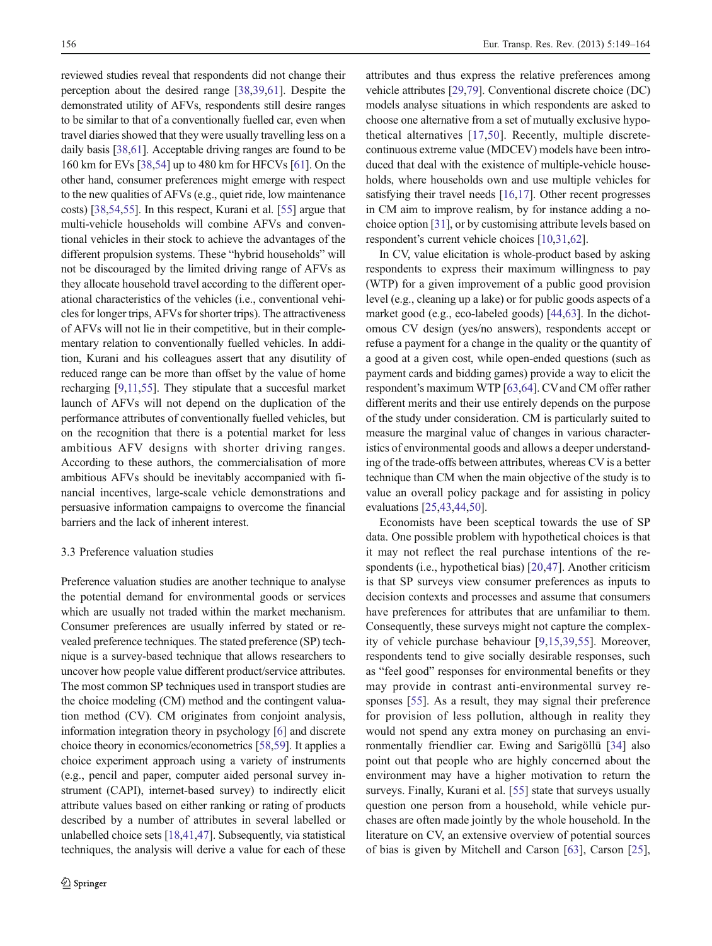reviewed studies reveal that respondents did not change their perception about the desired range [\[38](#page-14-0),[39](#page-14-0),[61\]](#page-15-0). Despite the demonstrated utility of AFVs, respondents still desire ranges to be similar to that of a conventionally fuelled car, even when travel diaries showed that they were usually travelling less on a daily basis [\[38](#page-14-0)[,61](#page-15-0)]. Acceptable driving ranges are found to be 160 km for EVs [[38](#page-14-0),[54](#page-14-0)] up to 480 km for HFCVs [\[61\]](#page-15-0). On the other hand, consumer preferences might emerge with respect to the new qualities of AFVs (e.g., quiet ride, low maintenance costs) [\[38,54,55\]](#page-14-0). In this respect, Kurani et al. [\[55\]](#page-14-0) argue that multi-vehicle households will combine AFVs and conventional vehicles in their stock to achieve the advantages of the different propulsion systems. These "hybrid households" will not be discouraged by the limited driving range of AFVs as they allocate household travel according to the different operational characteristics of the vehicles (i.e., conventional vehicles for longer trips, AFVs for shorter trips). The attractiveness of AFVs will not lie in their competitive, but in their complementary relation to conventionally fuelled vehicles. In addition, Kurani and his colleagues assert that any disutility of reduced range can be more than offset by the value of home recharging [\[9,11,](#page-13-0)[55\]](#page-14-0). They stipulate that a succesful market launch of AFVs will not depend on the duplication of the performance attributes of conventionally fuelled vehicles, but on the recognition that there is a potential market for less ambitious AFV designs with shorter driving ranges. According to these authors, the commercialisation of more ambitious AFVs should be inevitably accompanied with financial incentives, large-scale vehicle demonstrations and persuasive information campaigns to overcome the financial barriers and the lack of inherent interest.

#### 3.3 Preference valuation studies

Preference valuation studies are another technique to analyse the potential demand for environmental goods or services which are usually not traded within the market mechanism. Consumer preferences are usually inferred by stated or revealed preference techniques. The stated preference (SP) technique is a survey-based technique that allows researchers to uncover how people value different product/service attributes. The most common SP techniques used in transport studies are the choice modeling (CM) method and the contingent valuation method (CV). CM originates from conjoint analysis, information integration theory in psychology [[6\]](#page-13-0) and discrete choice theory in economics/econometrics [[58,](#page-14-0)[59\]](#page-15-0). It applies a choice experiment approach using a variety of instruments (e.g., pencil and paper, computer aided personal survey instrument (CAPI), internet-based survey) to indirectly elicit attribute values based on either ranking or rating of products described by a number of attributes in several labelled or unlabelled choice sets [[18,41,47\]](#page-14-0). Subsequently, via statistical techniques, the analysis will derive a value for each of these attributes and thus express the relative preferences among vehicle attributes [\[29](#page-14-0),[79](#page-15-0)]. Conventional discrete choice (DC) models analyse situations in which respondents are asked to choose one alternative from a set of mutually exclusive hypothetical alternatives [[17](#page-14-0),[50](#page-14-0)]. Recently, multiple discretecontinuous extreme value (MDCEV) models have been introduced that deal with the existence of multiple-vehicle households, where households own and use multiple vehicles for satisfying their travel needs [[16,17\]](#page-14-0). Other recent progresses in CM aim to improve realism, by for instance adding a nochoice option [\[31](#page-14-0)], or by customising attribute levels based on respondent's current vehicle choices [[10,](#page-13-0)[31,](#page-14-0)[62\]](#page-15-0).

In CV, value elicitation is whole-product based by asking respondents to express their maximum willingness to pay (WTP) for a given improvement of a public good provision level (e.g., cleaning up a lake) or for public goods aspects of a market good (e.g., eco-labeled goods) [[44](#page-14-0),[63\]](#page-15-0). In the dichotomous CV design (yes/no answers), respondents accept or refuse a payment for a change in the quality or the quantity of a good at a given cost, while open-ended questions (such as payment cards and bidding games) provide a way to elicit the respondent's maximum WTP [\[63,64](#page-15-0)]. CVand CM offer rather different merits and their use entirely depends on the purpose of the study under consideration. CM is particularly suited to measure the marginal value of changes in various characteristics of environmental goods and allows a deeper understanding of the trade-offs between attributes, whereas CV is a better technique than CM when the main objective of the study is to value an overall policy package and for assisting in policy evaluations [[25,43,44,50](#page-14-0)].

Economists have been sceptical towards the use of SP data. One possible problem with hypothetical choices is that it may not reflect the real purchase intentions of the re-spondents (i.e., hypothetical bias) [[20,47\]](#page-14-0). Another criticism is that SP surveys view consumer preferences as inputs to decision contexts and processes and assume that consumers have preferences for attributes that are unfamiliar to them. Consequently, these surveys might not capture the complexity of vehicle purchase behaviour [[9](#page-13-0)[,15](#page-14-0),[39,55](#page-14-0)]. Moreover, respondents tend to give socially desirable responses, such as "feel good" responses for environmental benefits or they may provide in contrast anti-environmental survey responses [[55\]](#page-14-0). As a result, they may signal their preference for provision of less pollution, although in reality they would not spend any extra money on purchasing an environmentally friendlier car. Ewing and Sarigöllü [[34\]](#page-14-0) also point out that people who are highly concerned about the environment may have a higher motivation to return the surveys. Finally, Kurani et al. [\[55](#page-14-0)] state that surveys usually question one person from a household, while vehicle purchases are often made jointly by the whole household. In the literature on CV, an extensive overview of potential sources of bias is given by Mitchell and Carson [[63\]](#page-15-0), Carson [[25\]](#page-14-0),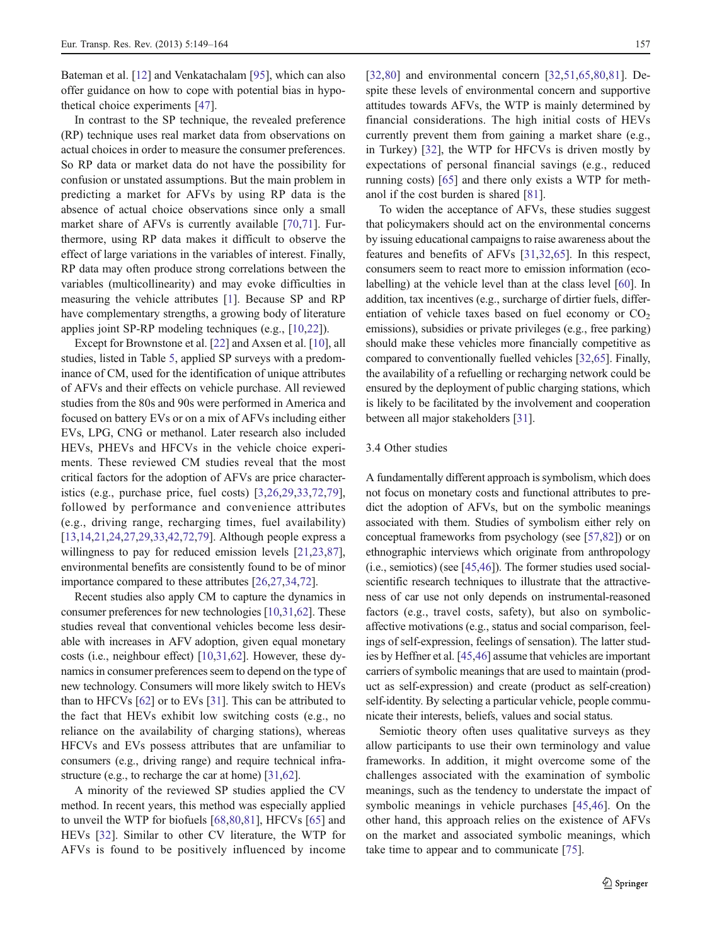Bateman et al. [\[12](#page-14-0)] and Venkatachalam [\[95](#page-15-0)], which can also offer guidance on how to cope with potential bias in hypothetical choice experiments [\[47](#page-14-0)].

In contrast to the SP technique, the revealed preference (RP) technique uses real market data from observations on actual choices in order to measure the consumer preferences. So RP data or market data do not have the possibility for confusion or unstated assumptions. But the main problem in predicting a market for AFVs by using RP data is the absence of actual choice observations since only a small market share of AFVs is currently available [\[70](#page-15-0),[71\]](#page-15-0). Furthermore, using RP data makes it difficult to observe the effect of large variations in the variables of interest. Finally, RP data may often produce strong correlations between the variables (multicollinearity) and may evoke difficulties in measuring the vehicle attributes [\[1](#page-13-0)]. Because SP and RP have complementary strengths, a growing body of literature applies joint SP-RP modeling techniques (e.g., [\[10](#page-13-0),[22\]](#page-14-0)).

Except for Brownstone et al. [[22\]](#page-14-0) and Axsen et al. [[10\]](#page-13-0), all studies, listed in Table [5](#page-9-0), applied SP surveys with a predominance of CM, used for the identification of unique attributes of AFVs and their effects on vehicle purchase. All reviewed studies from the 80s and 90s were performed in America and focused on battery EVs or on a mix of AFVs including either EVs, LPG, CNG or methanol. Later research also included HEVs, PHEVs and HFCVs in the vehicle choice experiments. These reviewed CM studies reveal that the most critical factors for the adoption of AFVs are price characteristics (e.g., purchase price, fuel costs) [[3](#page-13-0)[,26](#page-14-0),[29,33](#page-14-0),[72,79](#page-15-0)], followed by performance and convenience attributes (e.g., driving range, recharging times, fuel availability) [\[13](#page-14-0),[14](#page-14-0),[21,24](#page-14-0),[27](#page-14-0),[29,33,42](#page-14-0),[72,79](#page-15-0)]. Although people express a willingness to pay for reduced emission levels [[21,23](#page-14-0),[87](#page-15-0)], environmental benefits are consistently found to be of minor importance compared to these attributes [[26,27](#page-14-0),[34](#page-14-0),[72\]](#page-15-0).

Recent studies also apply CM to capture the dynamics in consumer preferences for new technologies [\[10,](#page-13-0)[31](#page-14-0)[,62](#page-15-0)]. These studies reveal that conventional vehicles become less desirable with increases in AFV adoption, given equal monetary costs (i.e., neighbour effect) [[10](#page-13-0),[31](#page-14-0),[62\]](#page-15-0). However, these dynamics in consumer preferences seem to depend on the type of new technology. Consumers will more likely switch to HEVs than to HFCVs [[62](#page-15-0)] or to EVs [[31\]](#page-14-0). This can be attributed to the fact that HEVs exhibit low switching costs (e.g., no reliance on the availability of charging stations), whereas HFCVs and EVs possess attributes that are unfamiliar to consumers (e.g., driving range) and require technical infrastructure (e.g., to recharge the car at home) [\[31](#page-14-0)[,62](#page-15-0)].

A minority of the reviewed SP studies applied the CV method. In recent years, this method was especially applied to unveil the WTP for biofuels [\[68](#page-15-0),[80,81](#page-15-0)], HFCVs [[65\]](#page-15-0) and HEVs [\[32](#page-14-0)]. Similar to other CV literature, the WTP for AFVs is found to be positively influenced by income

[\[32](#page-14-0),[80\]](#page-15-0) and environmental concern [32,[51,](#page-14-0)[65](#page-15-0),[80,81](#page-15-0)]. Despite these levels of environmental concern and supportive attitudes towards AFVs, the WTP is mainly determined by financial considerations. The high initial costs of HEVs currently prevent them from gaining a market share (e.g., in Turkey) [[32\]](#page-14-0), the WTP for HFCVs is driven mostly by expectations of personal financial savings (e.g., reduced running costs) [\[65](#page-15-0)] and there only exists a WTP for methanol if the cost burden is shared [\[81](#page-15-0)].

To widen the acceptance of AFVs, these studies suggest that policymakers should act on the environmental concerns by issuing educational campaigns to raise awareness about the features and benefits of AFVs [[31](#page-14-0),[32](#page-14-0)[,65](#page-15-0)]. In this respect, consumers seem to react more to emission information (ecolabelling) at the vehicle level than at the class level [\[60](#page-15-0)]. In addition, tax incentives (e.g., surcharge of dirtier fuels, differentiation of vehicle taxes based on fuel economy or  $CO<sub>2</sub>$ emissions), subsidies or private privileges (e.g., free parking) should make these vehicles more financially competitive as compared to conventionally fuelled vehicles [[32,](#page-14-0)[65\]](#page-15-0). Finally, the availability of a refuelling or recharging network could be ensured by the deployment of public charging stations, which is likely to be facilitated by the involvement and cooperation between all major stakeholders [\[31](#page-14-0)].

## 3.4 Other studies

A fundamentally different approach is symbolism, which does not focus on monetary costs and functional attributes to predict the adoption of AFVs, but on the symbolic meanings associated with them. Studies of symbolism either rely on conceptual frameworks from psychology (see [[57,](#page-14-0)[82\]](#page-15-0)) or on ethnographic interviews which originate from anthropology (i.e., semiotics) (see [\[45,46](#page-14-0)]). The former studies used socialscientific research techniques to illustrate that the attractiveness of car use not only depends on instrumental-reasoned factors (e.g., travel costs, safety), but also on symbolicaffective motivations (e.g., status and social comparison, feelings of self-expression, feelings of sensation). The latter studies by Heffner et al. [[45](#page-14-0),[46\]](#page-14-0) assume that vehicles are important carriers of symbolic meanings that are used to maintain (product as self-expression) and create (product as self-creation) self-identity. By selecting a particular vehicle, people communicate their interests, beliefs, values and social status.

Semiotic theory often uses qualitative surveys as they allow participants to use their own terminology and value frameworks. In addition, it might overcome some of the challenges associated with the examination of symbolic meanings, such as the tendency to understate the impact of symbolic meanings in vehicle purchases [\[45](#page-14-0),[46](#page-14-0)]. On the other hand, this approach relies on the existence of AFVs on the market and associated symbolic meanings, which take time to appear and to communicate [\[75](#page-15-0)].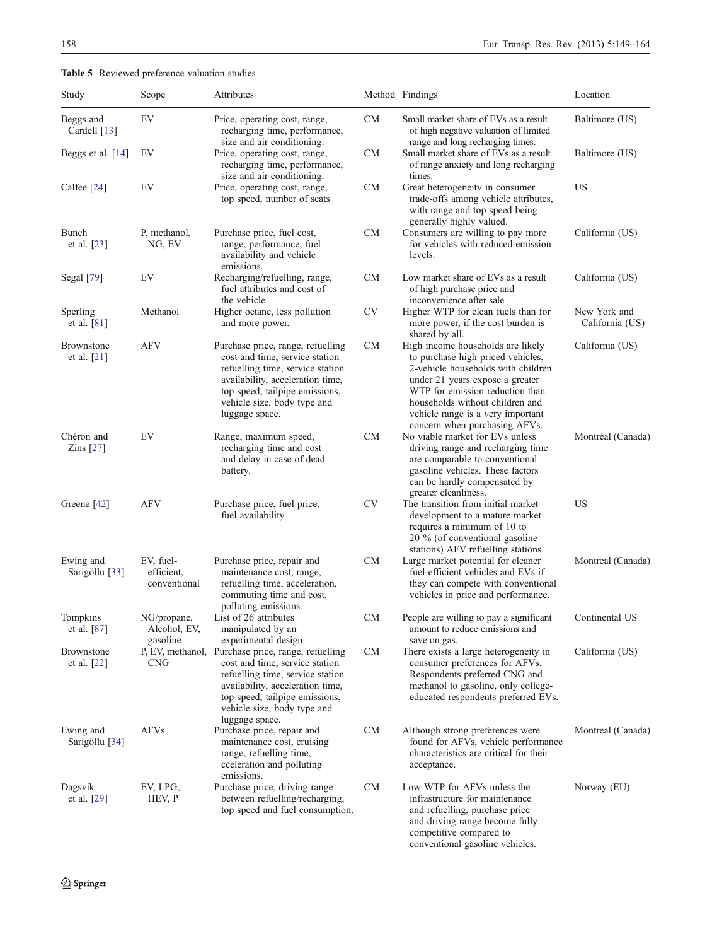<span id="page-9-0"></span>Table 5 Reviewed preference valuation studies

| Study                                  | Scope                                   | Attributes                                                                                                                                                                                                                                      |            | Method Findings                                                                                                                                                                                                                                                                             | Location                        |
|----------------------------------------|-----------------------------------------|-------------------------------------------------------------------------------------------------------------------------------------------------------------------------------------------------------------------------------------------------|------------|---------------------------------------------------------------------------------------------------------------------------------------------------------------------------------------------------------------------------------------------------------------------------------------------|---------------------------------|
| Beggs and<br>Cardell [13]              | EV                                      | Price, operating cost, range,<br>recharging time, performance,                                                                                                                                                                                  | CM         | Small market share of EVs as a result<br>of high negative valuation of limited                                                                                                                                                                                                              | Baltimore (US)                  |
| Beggs et al. [14]                      | EV                                      | size and air conditioning.<br>Price, operating cost, range,<br>recharging time, performance,                                                                                                                                                    | CM         | range and long recharging times.<br>Small market share of EVs as a result<br>of range anxiety and long recharging                                                                                                                                                                           | Baltimore (US)                  |
| Calfee [24]                            | EV                                      | size and air conditioning.<br>Price, operating cost, range,<br>top speed, number of seats                                                                                                                                                       | CМ         | times.<br>Great heterogeneity in consumer<br>trade-offs among vehicle attributes,<br>with range and top speed being<br>generally highly valued.                                                                                                                                             | US                              |
| <b>Bunch</b><br>et al. $[23]$          | P, methanol,<br>NG, EV                  | Purchase price, fuel cost,<br>range, performance, fuel<br>availability and vehicle<br>emissions.                                                                                                                                                | CM         | Consumers are willing to pay more<br>for vehicles with reduced emission<br>levels.                                                                                                                                                                                                          | California (US)                 |
| Segal [79]                             | EV                                      | Recharging/refuelling, range,<br>fuel attributes and cost of<br>the vehicle                                                                                                                                                                     | CM         | Low market share of EVs as a result<br>of high purchase price and<br>inconvenience after sale.                                                                                                                                                                                              | California (US)                 |
| Sperling<br>et al. $[81]$              | Methanol                                | Higher octane, less pollution<br>and more power.                                                                                                                                                                                                | <b>CV</b>  | Higher WTP for clean fuels than for<br>more power, if the cost burden is<br>shared by all.                                                                                                                                                                                                  | New York and<br>California (US) |
| <b>Brownstone</b><br>et al. $[21]$     | <b>AFV</b>                              | Purchase price, range, refuelling<br>cost and time, service station<br>refuelling time, service station<br>availability, acceleration time,<br>top speed, tailpipe emissions,<br>vehicle size, body type and<br>luggage space.                  | CM         | High income households are likely<br>to purchase high-priced vehicles,<br>2-vehicle households with children<br>under 21 years expose a greater<br>WTP for emission reduction than<br>households without children and<br>vehicle range is a very important<br>concern when purchasing AFVs. | California (US)                 |
| Chéron and<br>Zins [27]                | EV                                      | Range, maximum speed,<br>recharging time and cost<br>and delay in case of dead<br>battery.                                                                                                                                                      | CM         | No viable market for EVs unless<br>driving range and recharging time<br>are comparable to conventional<br>gasoline vehicles. These factors<br>can be hardly compensated by<br>greater cleanliness.                                                                                          | Montréal (Canada)               |
| Greene [42]                            | <b>AFV</b>                              | Purchase price, fuel price,<br>fuel availability                                                                                                                                                                                                | <b>CV</b>  | The transition from initial market<br>development to a mature market<br>requires a minimum of 10 to<br>20 % (of conventional gasoline<br>stations) AFV refuelling stations.                                                                                                                 | <b>US</b>                       |
| Ewing and<br>Sarigöllü <sup>[33]</sup> | EV, fuel-<br>efficient,<br>conventional | Purchase price, repair and<br>maintenance cost, range,<br>refuelling time, acceleration,<br>commuting time and cost,<br>polluting emissions.                                                                                                    | CM         | Large market potential for cleaner<br>fuel-efficient vehicles and EVs if<br>they can compete with conventional<br>vehicles in price and performance.                                                                                                                                        | Montreal (Canada)               |
| Tompkins<br>et al. $[87]$              | NG/propane,<br>Alcohol, EV,<br>gasoline | List of 26 attributes<br>manipulated by an<br>experimental design.                                                                                                                                                                              | ${\rm CM}$ | People are willing to pay a significant<br>amount to reduce emissions and<br>save on gas.                                                                                                                                                                                                   | Continental US                  |
| <b>Brownstone</b><br>et al. $[22]$     | <b>CNG</b>                              | P, EV, methanol, Purchase price, range, refuelling<br>cost and time, service station<br>refuelling time, service station<br>availability, acceleration time,<br>top speed, tailpipe emissions,<br>vehicle size, body type and<br>luggage space. | CМ         | There exists a large heterogeneity in<br>consumer preferences for AFVs.<br>Respondents preferred CNG and<br>methanol to gasoline, only college-<br>educated respondents preferred EVs.                                                                                                      | California (US)                 |
| Ewing and<br>Sarigöllü [34]            | <b>AFVs</b>                             | Purchase price, repair and<br>maintenance cost, cruising<br>range, refuelling time,<br>cceleration and polluting<br>emissions.                                                                                                                  | <b>CM</b>  | Although strong preferences were<br>found for AFVs, vehicle performance<br>characteristics are critical for their<br>acceptance.                                                                                                                                                            | Montreal (Canada)               |
| Dagsvik<br>et al. $[29]$               | EV, LPG,<br>HEV, P                      | Purchase price, driving range<br>between refuelling/recharging,<br>top speed and fuel consumption.                                                                                                                                              | CM         | Low WTP for AFVs unless the<br>infrastructure for maintenance<br>and refuelling, purchase price<br>and driving range become fully<br>competitive compared to                                                                                                                                | Norway (EU)                     |

conventional gasoline vehicles.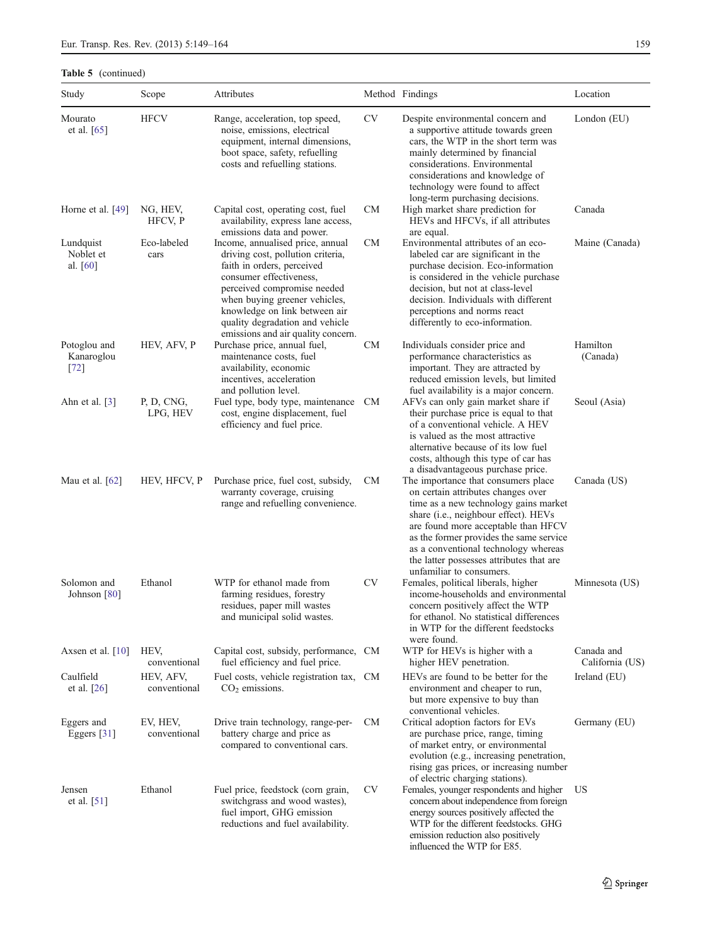# Table 5 (continued)

| Study                                | Scope                     | Attributes                                                                                                                                                                                                                                                         |           | Method Findings                                                                                                                                                                                                                                                                                                                                              | Location                      |
|--------------------------------------|---------------------------|--------------------------------------------------------------------------------------------------------------------------------------------------------------------------------------------------------------------------------------------------------------------|-----------|--------------------------------------------------------------------------------------------------------------------------------------------------------------------------------------------------------------------------------------------------------------------------------------------------------------------------------------------------------------|-------------------------------|
| Mourato<br>et al. [65]               | <b>HFCV</b>               | Range, acceleration, top speed,<br>noise, emissions, electrical<br>equipment, internal dimensions,<br>boot space, safety, refuelling<br>costs and refuelling stations.                                                                                             | CV        | Despite environmental concern and<br>a supportive attitude towards green<br>cars, the WTP in the short term was<br>mainly determined by financial<br>considerations. Environmental<br>considerations and knowledge of<br>technology were found to affect                                                                                                     | London (EU)                   |
| Horne et al. [49]                    | NG, HEV,<br>HFCV, P       | Capital cost, operating cost, fuel<br>availability, express lane access,<br>emissions data and power.                                                                                                                                                              | <b>CM</b> | long-term purchasing decisions.<br>High market share prediction for<br>HEVs and HFCVs, if all attributes<br>are equal.                                                                                                                                                                                                                                       | Canada                        |
| Lundquist<br>Noblet et<br>al. [60]   | Eco-labeled<br>cars       | Income, annualised price, annual<br>driving cost, pollution criteria,<br>faith in orders, perceived<br>consumer effectiveness,<br>perceived compromise needed<br>when buying greener vehicles,<br>knowledge on link between air<br>quality degradation and vehicle | СM        | Environmental attributes of an eco-<br>labeled car are significant in the<br>purchase decision. Eco-information<br>is considered in the vehicle purchase<br>decision, but not at class-level<br>decision. Individuals with different<br>perceptions and norms react<br>differently to eco-information.                                                       | Maine (Canada)                |
| Potoglou and<br>Kanaroglou<br>$[72]$ | HEV, AFV, P               | emissions and air quality concern.<br>Purchase price, annual fuel,<br>maintenance costs, fuel<br>availability, economic<br>incentives, acceleration<br>and pollution level.                                                                                        | <b>CM</b> | Individuals consider price and<br>performance characteristics as<br>important. They are attracted by<br>reduced emission levels, but limited<br>fuel availability is a major concern.                                                                                                                                                                        | Hamilton<br>(Canada)          |
| Ahn et al. $[3]$                     | P, D, CNG,<br>LPG, HEV    | Fuel type, body type, maintenance<br>cost, engine displacement, fuel<br>efficiency and fuel price.                                                                                                                                                                 | <b>CM</b> | AFVs can only gain market share if<br>their purchase price is equal to that<br>of a conventional vehicle. A HEV<br>is valued as the most attractive<br>alternative because of its low fuel<br>costs, although this type of car has<br>a disadvantageous purchase price.                                                                                      | Seoul (Asia)                  |
| Mau et al. $[62]$                    | HEV, HFCV, P              | Purchase price, fuel cost, subsidy,<br>warranty coverage, cruising<br>range and refuelling convenience.                                                                                                                                                            | CM        | The importance that consumers place<br>on certain attributes changes over<br>time as a new technology gains market<br>share (i.e., neighbour effect). HEVs<br>are found more acceptable than HFCV<br>as the former provides the same service<br>as a conventional technology whereas<br>the latter possesses attributes that are<br>unfamiliar to consumers. | Canada (US)                   |
| Solomon and<br>Johnson [80]          | Ethanol                   | WTP for ethanol made from<br>farming residues, forestry<br>residues, paper mill wastes<br>and municipal solid wastes.                                                                                                                                              | <b>CV</b> | Females, political liberals, higher<br>income-households and environmental<br>concern positively affect the WTP<br>for ethanol. No statistical differences<br>in WTP for the different feedstocks<br>were found.                                                                                                                                             | Minnesota (US)                |
| Axsen et al. $[10]$                  | HEV,<br>conventional      | Capital cost, subsidy, performance, CM<br>fuel efficiency and fuel price.                                                                                                                                                                                          |           | WTP for HEVs is higher with a<br>higher HEV penetration.                                                                                                                                                                                                                                                                                                     | Canada and<br>California (US) |
| Caulfield<br>et al. $[26]$           | HEV, AFV,<br>conventional | Fuel costs, vehicle registration tax, CM<br>$CO2$ emissions.                                                                                                                                                                                                       |           | HEVs are found to be better for the<br>environment and cheaper to run,<br>but more expensive to buy than<br>conventional vehicles.                                                                                                                                                                                                                           | Ireland (EU)                  |
| Eggers and<br>Eggers $[31]$          | EV, HEV,<br>conventional  | Drive train technology, range-per-<br>battery charge and price as<br>compared to conventional cars.                                                                                                                                                                | CМ        | Critical adoption factors for EVs<br>are purchase price, range, timing<br>of market entry, or environmental<br>evolution (e.g., increasing penetration,<br>rising gas prices, or increasing number<br>of electric charging stations).                                                                                                                        | Germany (EU)                  |
| Jensen<br>et al. $[51]$              | Ethanol                   | Fuel price, feedstock (corn grain,<br>switchgrass and wood wastes),<br>fuel import, GHG emission<br>reductions and fuel availability.                                                                                                                              | <b>CV</b> | Females, younger respondents and higher<br>concern about independence from foreign<br>energy sources positively affected the<br>WTP for the different feedstocks. GHG<br>emission reduction also positively<br>influenced the WTP for E85.                                                                                                                   | US                            |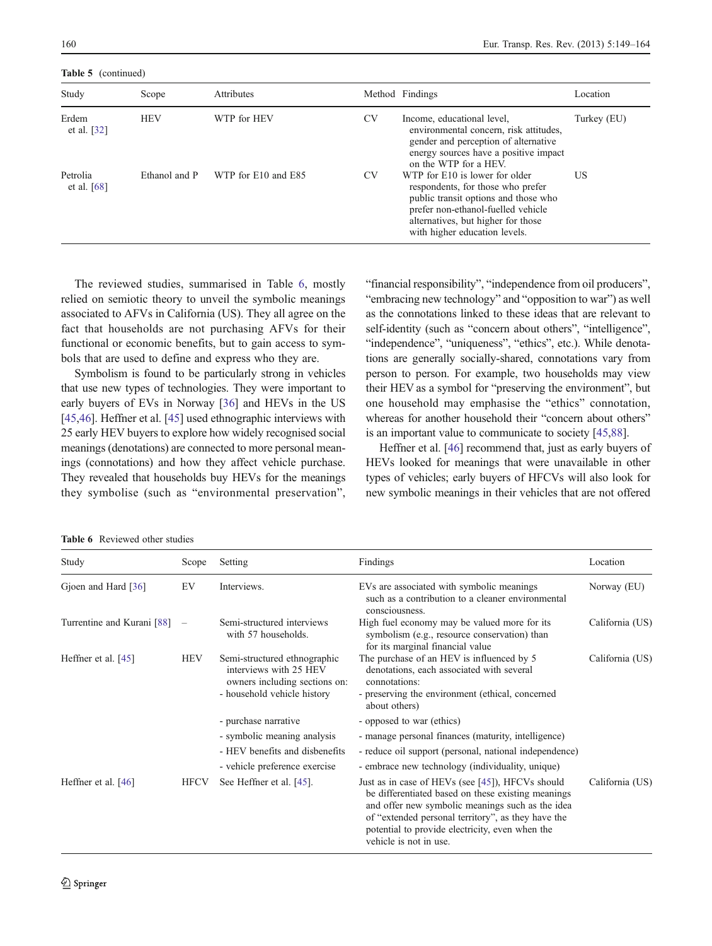Table 5 (continued)

| Study                              | Scope         | <b>Attributes</b>   |    | Method Findings                                                                                                                                                                                                          | Location    |
|------------------------------------|---------------|---------------------|----|--------------------------------------------------------------------------------------------------------------------------------------------------------------------------------------------------------------------------|-------------|
| Erdem<br>et al. $\lceil 32 \rceil$ | <b>HEV</b>    | WTP for HEV         | CV | Income, educational level,<br>environmental concern, risk attitudes,<br>gender and perception of alternative<br>energy sources have a positive impact<br>on the WTP for a HEV.                                           | Turkey (EU) |
| Petrolia<br>et al. $[68]$          | Ethanol and P | WTP for E10 and E85 | CV | WTP for E10 is lower for older<br>respondents, for those who prefer<br>public transit options and those who<br>prefer non-ethanol-fuelled vehicle<br>alternatives, but higher for those<br>with higher education levels. | US          |

The reviewed studies, summarised in Table 6, mostly relied on semiotic theory to unveil the symbolic meanings associated to AFVs in California (US). They all agree on the fact that households are not purchasing AFVs for their functional or economic benefits, but to gain access to symbols that are used to define and express who they are.

Symbolism is found to be particularly strong in vehicles that use new types of technologies. They were important to early buyers of EVs in Norway [[36](#page-14-0)] and HEVs in the US [\[45,46](#page-14-0)]. Heffner et al. [[45](#page-14-0)] used ethnographic interviews with 25 early HEV buyers to explore how widely recognised social meanings (denotations) are connected to more personal meanings (connotations) and how they affect vehicle purchase. They revealed that households buy HEVs for the meanings they symbolise (such as "environmental preservation",

"financial responsibility", "independence from oil producers", "embracing new technology" and "opposition to war") as well as the connotations linked to these ideas that are relevant to self-identity (such as "concern about others", "intelligence", "independence", "uniqueness", "ethics", etc.). While denotations are generally socially-shared, connotations vary from person to person. For example, two households may view their HEV as a symbol for "preserving the environment", but one household may emphasise the "ethics" connotation, whereas for another household their "concern about others" is an important value to communicate to society [\[45](#page-14-0)[,88](#page-15-0)].

Heffner et al. [[46](#page-14-0)] recommend that, just as early buyers of HEVs looked for meanings that were unavailable in other types of vehicles; early buyers of HFCVs will also look for new symbolic meanings in their vehicles that are not offered

Table 6 Reviewed other studies

| Study                      | Scope       | Setting                                                                                                                | Findings                                                                                                                                                                                                                                                                                      | Location        |
|----------------------------|-------------|------------------------------------------------------------------------------------------------------------------------|-----------------------------------------------------------------------------------------------------------------------------------------------------------------------------------------------------------------------------------------------------------------------------------------------|-----------------|
| Gjoen and Hard [36]        | EV          | Interviews.                                                                                                            | EVs are associated with symbolic meanings<br>such as a contribution to a cleaner environmental<br>consciousness.                                                                                                                                                                              | Norway (EU)     |
| Turrentine and Kurani [88] |             | Semi-structured interviews<br>with 57 households.                                                                      | High fuel economy may be valued more for its<br>symbolism (e.g., resource conservation) than<br>for its marginal financial value                                                                                                                                                              | California (US) |
| Heffner et al. [45]        | <b>HEV</b>  | Semi-structured ethnographic<br>interviews with 25 HEV<br>owners including sections on:<br>- household vehicle history | The purchase of an HEV is influenced by 5<br>denotations, each associated with several<br>connotations:<br>- preserving the environment (ethical, concerned<br>about others)                                                                                                                  | California (US) |
|                            |             | - purchase narrative                                                                                                   | - opposed to war (ethics)                                                                                                                                                                                                                                                                     |                 |
|                            |             | - symbolic meaning analysis                                                                                            | - manage personal finances (maturity, intelligence)                                                                                                                                                                                                                                           |                 |
|                            |             | - HEV benefits and disbenefits                                                                                         | - reduce oil support (personal, national independence)                                                                                                                                                                                                                                        |                 |
|                            |             | - vehicle preference exercise                                                                                          | - embrace new technology (individuality, unique)                                                                                                                                                                                                                                              |                 |
| Heffner et al. [46]        | <b>HFCV</b> | See Heffner et al. [45].                                                                                               | Just as in case of HEVs (see [45]), HFCVs should<br>be differentiated based on these existing meanings<br>and offer new symbolic meanings such as the idea<br>of "extended personal territory", as they have the<br>potential to provide electricity, even when the<br>vehicle is not in use. | California (US) |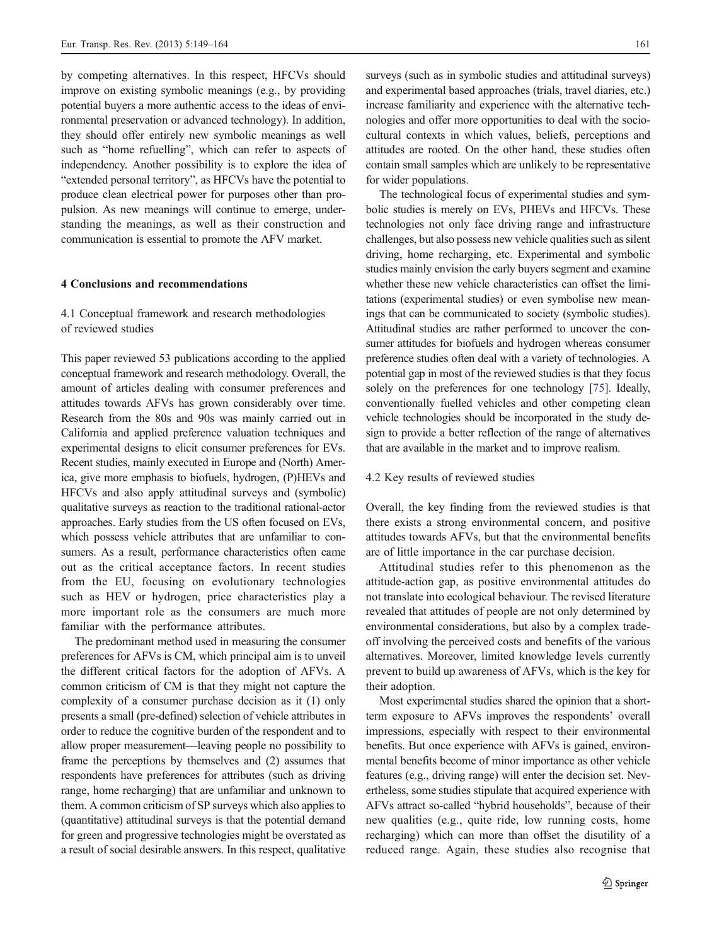<span id="page-12-0"></span>by competing alternatives. In this respect, HFCVs should improve on existing symbolic meanings (e.g., by providing potential buyers a more authentic access to the ideas of environmental preservation or advanced technology). In addition, they should offer entirely new symbolic meanings as well such as "home refuelling", which can refer to aspects of independency. Another possibility is to explore the idea of "extended personal territory", as HFCVs have the potential to produce clean electrical power for purposes other than propulsion. As new meanings will continue to emerge, understanding the meanings, as well as their construction and communication is essential to promote the AFV market.

## 4 Conclusions and recommendations

# 4.1 Conceptual framework and research methodologies of reviewed studies

This paper reviewed 53 publications according to the applied conceptual framework and research methodology. Overall, the amount of articles dealing with consumer preferences and attitudes towards AFVs has grown considerably over time. Research from the 80s and 90s was mainly carried out in California and applied preference valuation techniques and experimental designs to elicit consumer preferences for EVs. Recent studies, mainly executed in Europe and (North) America, give more emphasis to biofuels, hydrogen, (P)HEVs and HFCVs and also apply attitudinal surveys and (symbolic) qualitative surveys as reaction to the traditional rational-actor approaches. Early studies from the US often focused on EVs, which possess vehicle attributes that are unfamiliar to consumers. As a result, performance characteristics often came out as the critical acceptance factors. In recent studies from the EU, focusing on evolutionary technologies such as HEV or hydrogen, price characteristics play a more important role as the consumers are much more familiar with the performance attributes.

The predominant method used in measuring the consumer preferences for AFVs is CM, which principal aim is to unveil the different critical factors for the adoption of AFVs. A common criticism of CM is that they might not capture the complexity of a consumer purchase decision as it (1) only presents a small (pre-defined) selection of vehicle attributes in order to reduce the cognitive burden of the respondent and to allow proper measurement—leaving people no possibility to frame the perceptions by themselves and (2) assumes that respondents have preferences for attributes (such as driving range, home recharging) that are unfamiliar and unknown to them. A common criticism of SP surveys which also applies to (quantitative) attitudinal surveys is that the potential demand for green and progressive technologies might be overstated as a result of social desirable answers. In this respect, qualitative

surveys (such as in symbolic studies and attitudinal surveys) and experimental based approaches (trials, travel diaries, etc.) increase familiarity and experience with the alternative technologies and offer more opportunities to deal with the sociocultural contexts in which values, beliefs, perceptions and attitudes are rooted. On the other hand, these studies often contain small samples which are unlikely to be representative for wider populations.

The technological focus of experimental studies and symbolic studies is merely on EVs, PHEVs and HFCVs. These technologies not only face driving range and infrastructure challenges, but also possess new vehicle qualities such as silent driving, home recharging, etc. Experimental and symbolic studies mainly envision the early buyers segment and examine whether these new vehicle characteristics can offset the limitations (experimental studies) or even symbolise new meanings that can be communicated to society (symbolic studies). Attitudinal studies are rather performed to uncover the consumer attitudes for biofuels and hydrogen whereas consumer preference studies often deal with a variety of technologies. A potential gap in most of the reviewed studies is that they focus solely on the preferences for one technology [\[75\]](#page-15-0). Ideally, conventionally fuelled vehicles and other competing clean vehicle technologies should be incorporated in the study design to provide a better reflection of the range of alternatives that are available in the market and to improve realism.

#### 4.2 Key results of reviewed studies

Overall, the key finding from the reviewed studies is that there exists a strong environmental concern, and positive attitudes towards AFVs, but that the environmental benefits are of little importance in the car purchase decision.

Attitudinal studies refer to this phenomenon as the attitude-action gap, as positive environmental attitudes do not translate into ecological behaviour. The revised literature revealed that attitudes of people are not only determined by environmental considerations, but also by a complex tradeoff involving the perceived costs and benefits of the various alternatives. Moreover, limited knowledge levels currently prevent to build up awareness of AFVs, which is the key for their adoption.

Most experimental studies shared the opinion that a shortterm exposure to AFVs improves the respondents' overall impressions, especially with respect to their environmental benefits. But once experience with AFVs is gained, environmental benefits become of minor importance as other vehicle features (e.g., driving range) will enter the decision set. Nevertheless, some studies stipulate that acquired experience with AFVs attract so-called "hybrid households", because of their new qualities (e.g., quite ride, low running costs, home recharging) which can more than offset the disutility of a reduced range. Again, these studies also recognise that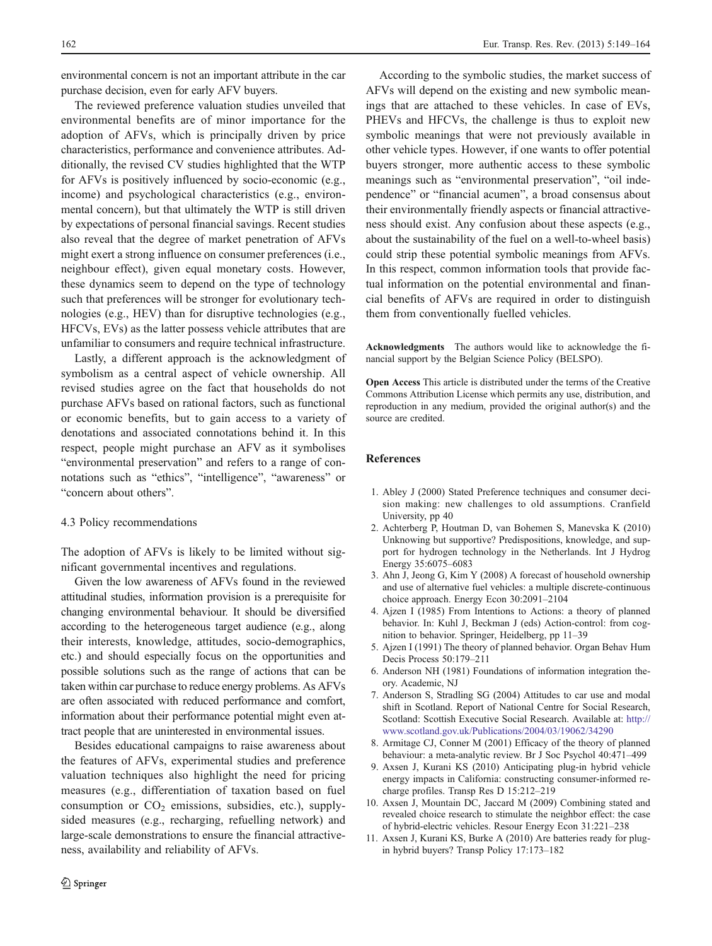<span id="page-13-0"></span>environmental concern is not an important attribute in the car purchase decision, even for early AFV buyers.

The reviewed preference valuation studies unveiled that environmental benefits are of minor importance for the adoption of AFVs, which is principally driven by price characteristics, performance and convenience attributes. Additionally, the revised CV studies highlighted that the WTP for AFVs is positively influenced by socio-economic (e.g., income) and psychological characteristics (e.g., environmental concern), but that ultimately the WTP is still driven by expectations of personal financial savings. Recent studies also reveal that the degree of market penetration of AFVs might exert a strong influence on consumer preferences (i.e., neighbour effect), given equal monetary costs. However, these dynamics seem to depend on the type of technology such that preferences will be stronger for evolutionary technologies (e.g., HEV) than for disruptive technologies (e.g., HFCVs, EVs) as the latter possess vehicle attributes that are unfamiliar to consumers and require technical infrastructure.

Lastly, a different approach is the acknowledgment of symbolism as a central aspect of vehicle ownership. All revised studies agree on the fact that households do not purchase AFVs based on rational factors, such as functional or economic benefits, but to gain access to a variety of denotations and associated connotations behind it. In this respect, people might purchase an AFV as it symbolises "environmental preservation" and refers to a range of connotations such as "ethics", "intelligence", "awareness" or "concern about others".

#### 4.3 Policy recommendations

The adoption of AFVs is likely to be limited without significant governmental incentives and regulations.

Given the low awareness of AFVs found in the reviewed attitudinal studies, information provision is a prerequisite for changing environmental behaviour. It should be diversified according to the heterogeneous target audience (e.g., along their interests, knowledge, attitudes, socio-demographics, etc.) and should especially focus on the opportunities and possible solutions such as the range of actions that can be taken within car purchase to reduce energy problems. As AFVs are often associated with reduced performance and comfort, information about their performance potential might even attract people that are uninterested in environmental issues.

Besides educational campaigns to raise awareness about the features of AFVs, experimental studies and preference valuation techniques also highlight the need for pricing measures (e.g., differentiation of taxation based on fuel consumption or  $CO<sub>2</sub>$  emissions, subsidies, etc.), supplysided measures (e.g., recharging, refuelling network) and large-scale demonstrations to ensure the financial attractiveness, availability and reliability of AFVs.

According to the symbolic studies, the market success of AFVs will depend on the existing and new symbolic meanings that are attached to these vehicles. In case of EVs, PHEVs and HFCVs, the challenge is thus to exploit new symbolic meanings that were not previously available in other vehicle types. However, if one wants to offer potential buyers stronger, more authentic access to these symbolic meanings such as "environmental preservation", "oil independence" or "financial acumen", a broad consensus about their environmentally friendly aspects or financial attractiveness should exist. Any confusion about these aspects (e.g., about the sustainability of the fuel on a well-to-wheel basis) could strip these potential symbolic meanings from AFVs. In this respect, common information tools that provide factual information on the potential environmental and financial benefits of AFVs are required in order to distinguish them from conventionally fuelled vehicles.

Acknowledgments The authors would like to acknowledge the financial support by the Belgian Science Policy (BELSPO).

Open Access This article is distributed under the terms of the Creative Commons Attribution License which permits any use, distribution, and reproduction in any medium, provided the original author(s) and the source are credited.

#### References

- 1. Abley J (2000) Stated Preference techniques and consumer decision making: new challenges to old assumptions. Cranfield University, pp 40
- 2. Achterberg P, Houtman D, van Bohemen S, Manevska K (2010) Unknowing but supportive? Predispositions, knowledge, and support for hydrogen technology in the Netherlands. Int J Hydrog Energy 35:6075–6083
- 3. Ahn J, Jeong G, Kim Y (2008) A forecast of household ownership and use of alternative fuel vehicles: a multiple discrete-continuous choice approach. Energy Econ 30:2091–2104
- 4. Ajzen I (1985) From Intentions to Actions: a theory of planned behavior. In: Kuhl J, Beckman J (eds) Action-control: from cognition to behavior. Springer, Heidelberg, pp 11–39
- 5. Ajzen I (1991) The theory of planned behavior. Organ Behav Hum Decis Process 50:179–211
- 6. Anderson NH (1981) Foundations of information integration theory. Academic, NJ
- 7. Anderson S, Stradling SG (2004) Attitudes to car use and modal shift in Scotland. Report of National Centre for Social Research, Scotland: Scottish Executive Social Research. Available at: [http://](http://www.scotland.gov.uk/Publications/2004/03/19062/34290) [www.scotland.gov.uk/Publications/2004/03/19062/34290](http://www.scotland.gov.uk/Publications/2004/03/19062/34290)
- 8. Armitage CJ, Conner M (2001) Efficacy of the theory of planned behaviour: a meta-analytic review. Br J Soc Psychol 40:471–499
- 9. Axsen J, Kurani KS (2010) Anticipating plug-in hybrid vehicle energy impacts in California: constructing consumer-informed recharge profiles. Transp Res D 15:212–219
- 10. Axsen J, Mountain DC, Jaccard M (2009) Combining stated and revealed choice research to stimulate the neighbor effect: the case of hybrid-electric vehicles. Resour Energy Econ 31:221–238
- 11. Axsen J, Kurani KS, Burke A (2010) Are batteries ready for plugin hybrid buyers? Transp Policy 17:173–182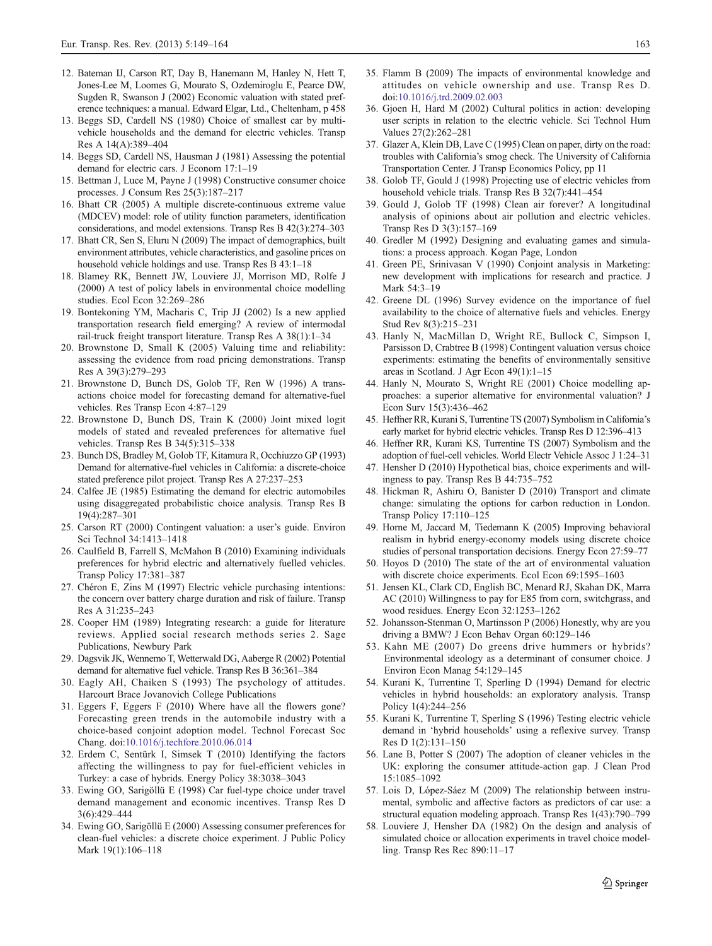- <span id="page-14-0"></span>12. Bateman IJ, Carson RT, Day B, Hanemann M, Hanley N, Hett T, Jones-Lee M, Loomes G, Mourato S, Ozdemiroglu E, Pearce DW, Sugden R, Swanson J (2002) Economic valuation with stated preference techniques: a manual. Edward Elgar, Ltd., Cheltenham, p 458
- 13. Beggs SD, Cardell NS (1980) Choice of smallest car by multivehicle households and the demand for electric vehicles. Transp Res A 14(A):389–404
- 14. Beggs SD, Cardell NS, Hausman J (1981) Assessing the potential demand for electric cars. J Econom 17:1–19
- 15. Bettman J, Luce M, Payne J (1998) Constructive consumer choice processes. J Consum Res 25(3):187–217
- 16. Bhatt CR (2005) A multiple discrete-continuous extreme value (MDCEV) model: role of utility function parameters, identification considerations, and model extensions. Transp Res B 42(3):274–303
- 17. Bhatt CR, Sen S, Eluru N (2009) The impact of demographics, built environment attributes, vehicle characteristics, and gasoline prices on household vehicle holdings and use. Transp Res B 43:1–18
- 18. Blamey RK, Bennett JW, Louviere JJ, Morrison MD, Rolfe J (2000) A test of policy labels in environmental choice modelling studies. Ecol Econ 32:269–286
- 19. Bontekoning YM, Macharis C, Trip JJ (2002) Is a new applied transportation research field emerging? A review of intermodal rail-truck freight transport literature. Transp Res A 38(1):1–34
- 20. Brownstone D, Small K (2005) Valuing time and reliability: assessing the evidence from road pricing demonstrations. Transp Res A 39(3):279–293
- 21. Brownstone D, Bunch DS, Golob TF, Ren W (1996) A transactions choice model for forecasting demand for alternative-fuel vehicles. Res Transp Econ 4:87–129
- 22. Brownstone D, Bunch DS, Train K (2000) Joint mixed logit models of stated and revealed preferences for alternative fuel vehicles. Transp Res B 34(5):315–338
- 23. Bunch DS, Bradley M, Golob TF, Kitamura R, Occhiuzzo GP (1993) Demand for alternative-fuel vehicles in California: a discrete-choice stated preference pilot project. Transp Res A 27:237–253
- 24. Calfee JE (1985) Estimating the demand for electric automobiles using disaggregated probabilistic choice analysis. Transp Res B 19(4):287–301
- 25. Carson RT (2000) Contingent valuation: a user's guide. Environ Sci Technol 34:1413–1418
- 26. Caulfield B, Farrell S, McMahon B (2010) Examining individuals preferences for hybrid electric and alternatively fuelled vehicles. Transp Policy 17:381–387
- 27. Chéron E, Zins M (1997) Electric vehicle purchasing intentions: the concern over battery charge duration and risk of failure. Transp Res A 31:235–243
- 28. Cooper HM (1989) Integrating research: a guide for literature reviews. Applied social research methods series 2. Sage Publications, Newbury Park
- 29. Dagsvik JK, Wennemo T, Wetterwald DG, Aaberge R (2002) Potential demand for alternative fuel vehicle. Transp Res B 36:361–384
- 30. Eagly AH, Chaiken S (1993) The psychology of attitudes. Harcourt Brace Jovanovich College Publications
- 31. Eggers F, Eggers F (2010) Where have all the flowers gone? Forecasting green trends in the automobile industry with a choice-based conjoint adoption model. Technol Forecast Soc Chang. doi:[10.1016/j.techfore.2010.06.014](http://dx.doi.org/10.1016/j.techfore.2010.06.014)
- 32. Erdem C, Sentürk I, Simsek T (2010) Identifying the factors affecting the willingness to pay for fuel-efficient vehicles in Turkey: a case of hybrids. Energy Policy 38:3038–3043
- 33. Ewing GO, Sarigöllü E (1998) Car fuel-type choice under travel demand management and economic incentives. Transp Res D 3(6):429–444
- 34. Ewing GO, Sarigöllü E (2000) Assessing consumer preferences for clean-fuel vehicles: a discrete choice experiment. J Public Policy Mark 19(1):106–118
- 35. Flamm B (2009) The impacts of environmental knowledge and attitudes on vehicle ownership and use. Transp Res D. doi[:10.1016/j.trd.2009.02.003](http://dx.doi.org/10.1016/j.trd.2009.02.003)
- 36. Gjoen H, Hard M (2002) Cultural politics in action: developing user scripts in relation to the electric vehicle. Sci Technol Hum Values 27(2):262–281
- 37. Glazer A, Klein DB, Lave C (1995) Clean on paper, dirty on the road: troubles with California's smog check. The University of California Transportation Center. J Transp Economics Policy, pp 11
- 38. Golob TF, Gould J (1998) Projecting use of electric vehicles from household vehicle trials. Transp Res B 32(7):441–454
- 39. Gould J, Golob TF (1998) Clean air forever? A longitudinal analysis of opinions about air pollution and electric vehicles. Transp Res D 3(3):157–169
- 40. Gredler M (1992) Designing and evaluating games and simulations: a process approach. Kogan Page, London
- 41. Green PE, Srinivasan V (1990) Conjoint analysis in Marketing: new development with implications for research and practice. J Mark 54:3–19
- 42. Greene DL (1996) Survey evidence on the importance of fuel availability to the choice of alternative fuels and vehicles. Energy Stud Rev 8(3):215–231
- 43. Hanly N, MacMillan D, Wright RE, Bullock C, Simpson I, Parsisson D, Crabtree B (1998) Contingent valuation versus choice experiments: estimating the benefits of environmentally sensitive areas in Scotland. J Agr Econ 49(1):1–15
- 44. Hanly N, Mourato S, Wright RE (2001) Choice modelling approaches: a superior alternative for environmental valuation? J Econ Surv 15(3):436–462
- 45. Heffner RR, Kurani S, Turrentine TS (2007) Symbolism in California's early market for hybrid electric vehicles. Transp Res D 12:396–413
- 46. Heffner RR, Kurani KS, Turrentine TS (2007) Symbolism and the adoption of fuel-cell vehicles. World Electr Vehicle Assoc J 1:24–31
- 47. Hensher D (2010) Hypothetical bias, choice experiments and willingness to pay. Transp Res B 44:735–752
- 48. Hickman R, Ashiru O, Banister D (2010) Transport and climate change: simulating the options for carbon reduction in London. Transp Policy 17:110–125
- 49. Horne M, Jaccard M, Tiedemann K (2005) Improving behavioral realism in hybrid energy-economy models using discrete choice studies of personal transportation decisions. Energy Econ 27:59–77
- 50. Hoyos D (2010) The state of the art of environmental valuation with discrete choice experiments. Ecol Econ 69:1595–1603
- 51. Jensen KL, Clark CD, English BC, Menard RJ, Skahan DK, Marra AC (2010) Willingness to pay for E85 from corn, switchgrass, and wood residues. Energy Econ 32:1253–1262
- 52. Johansson-Stenman O, Martinsson P (2006) Honestly, why are you driving a BMW? J Econ Behav Organ 60:129–146
- 53. Kahn ME (2007) Do greens drive hummers or hybrids? Environmental ideology as a determinant of consumer choice. J Environ Econ Manag 54:129–145
- 54. Kurani K, Turrentine T, Sperling D (1994) Demand for electric vehicles in hybrid households: an exploratory analysis. Transp Policy 1(4):244–256
- 55. Kurani K, Turrentine T, Sperling S (1996) Testing electric vehicle demand in 'hybrid households' using a reflexive survey. Transp Res D 1(2):131–150
- 56. Lane B, Potter S (2007) The adoption of cleaner vehicles in the UK: exploring the consumer attitude-action gap. J Clean Prod 15:1085–1092
- 57. Lois D, López-Sáez M (2009) The relationship between instrumental, symbolic and affective factors as predictors of car use: a structural equation modeling approach. Transp Res 1(43):790–799
- 58. Louviere J, Hensher DA (1982) On the design and analysis of simulated choice or allocation experiments in travel choice modelling. Transp Res Rec 890:11–17